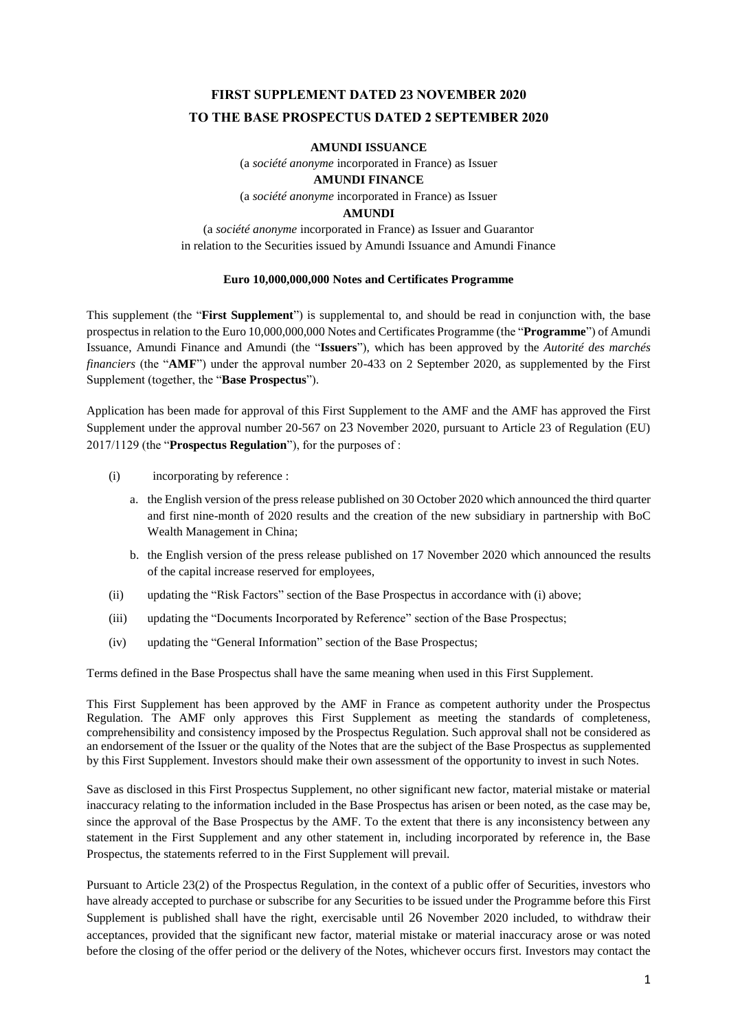# **FIRST SUPPLEMENT DATED 23 NOVEMBER 2020 TO THE BASE PROSPECTUS DATED 2 SEPTEMBER 2020**

#### **AMUNDI ISSUANCE**

(a *société anonyme* incorporated in France) as Issuer

**AMUNDI FINANCE** 

(a *société anonyme* incorporated in France) as Issuer

#### **AMUNDI**

(a *société anonyme* incorporated in France) as Issuer and Guarantor in relation to the Securities issued by Amundi Issuance and Amundi Finance

#### **Euro 10,000,000,000 Notes and Certificates Programme**

This supplement (the "**First Supplement**") is supplemental to, and should be read in conjunction with, the base prospectusin relation to the Euro 10,000,000,000 Notes and Certificates Programme (the "**Programme**") of Amundi Issuance, Amundi Finance and Amundi (the "**Issuers**"), which has been approved by the *Autorité des marchés financiers* (the "AMF") under the approval number 20-433 on 2 September 2020, as supplemented by the First Supplement (together, the "**Base Prospectus**").

Application has been made for approval of this First Supplement to the AMF and the AMF has approved the First Supplement under the approval number 20-567 on 23 November 2020, pursuant to Article 23 of Regulation (EU) 2017/1129 (the "**Prospectus Regulation**"), for the purposes of :

- (i) incorporating by reference :
	- a. the English version of the press release published on 30 October 2020 which announced the third quarter and first nine-month of 2020 results and the creation of the new subsidiary in partnership with BoC Wealth Management in China;
	- b. the English version of the press release published on 17 November 2020 which announced the results of the capital increase reserved for employees,
- (ii) updating the "Risk Factors" section of the Base Prospectus in accordance with (i) above;
- (iii) updating the "Documents Incorporated by Reference" section of the Base Prospectus;
- (iv) updating the "General Information" section of the Base Prospectus;

Terms defined in the Base Prospectus shall have the same meaning when used in this First Supplement.

This First Supplement has been approved by the AMF in France as competent authority under the Prospectus Regulation. The AMF only approves this First Supplement as meeting the standards of completeness, comprehensibility and consistency imposed by the Prospectus Regulation. Such approval shall not be considered as an endorsement of the Issuer or the quality of the Notes that are the subject of the Base Prospectus as supplemented by this First Supplement. Investors should make their own assessment of the opportunity to invest in such Notes.

Save as disclosed in this First Prospectus Supplement, no other significant new factor, material mistake or material inaccuracy relating to the information included in the Base Prospectus has arisen or been noted, as the case may be, since the approval of the Base Prospectus by the AMF. To the extent that there is any inconsistency between any statement in the First Supplement and any other statement in, including incorporated by reference in, the Base Prospectus, the statements referred to in the First Supplement will prevail.

Pursuant to Article 23(2) of the Prospectus Regulation, in the context of a public offer of Securities, investors who have already accepted to purchase or subscribe for any Securities to be issued under the Programme before this First Supplement is published shall have the right, exercisable until 26 November 2020 included, to withdraw their acceptances, provided that the significant new factor, material mistake or material inaccuracy arose or was noted before the closing of the offer period or the delivery of the Notes, whichever occurs first. Investors may contact the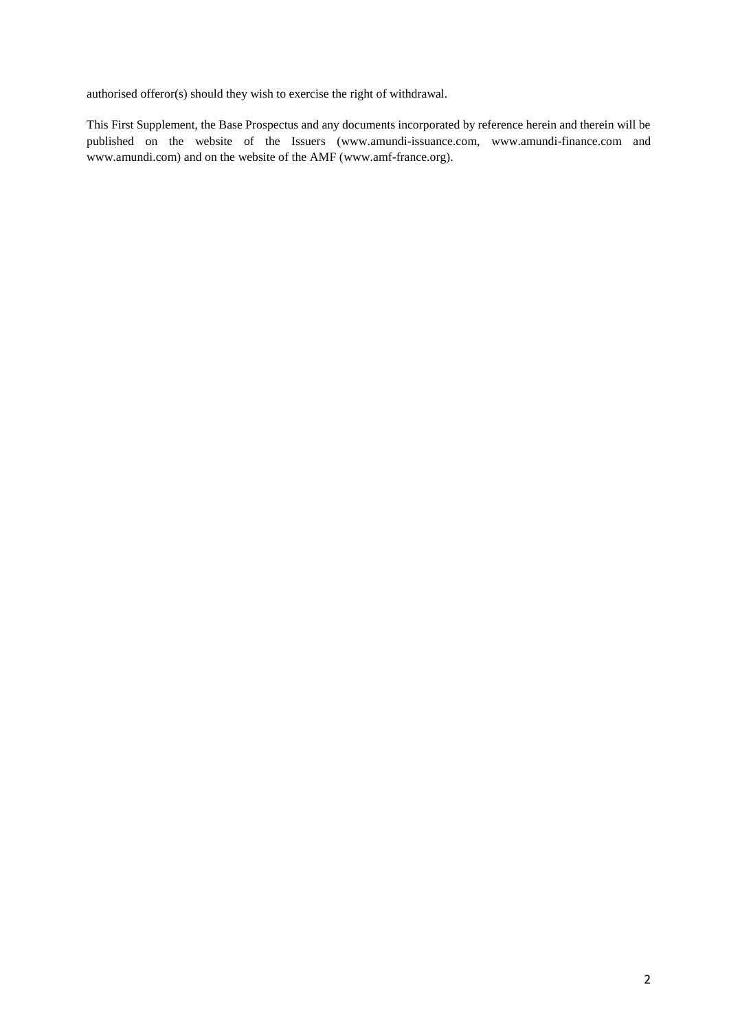authorised offeror(s) should they wish to exercise the right of withdrawal.

This First Supplement, the Base Prospectus and any documents incorporated by reference herein and therein will be published on the website of the Issuers (www.amundi-issuance.com, www.amundi-finance.com and www.amundi.com) and on the website of the AMF (www.amf-france.org).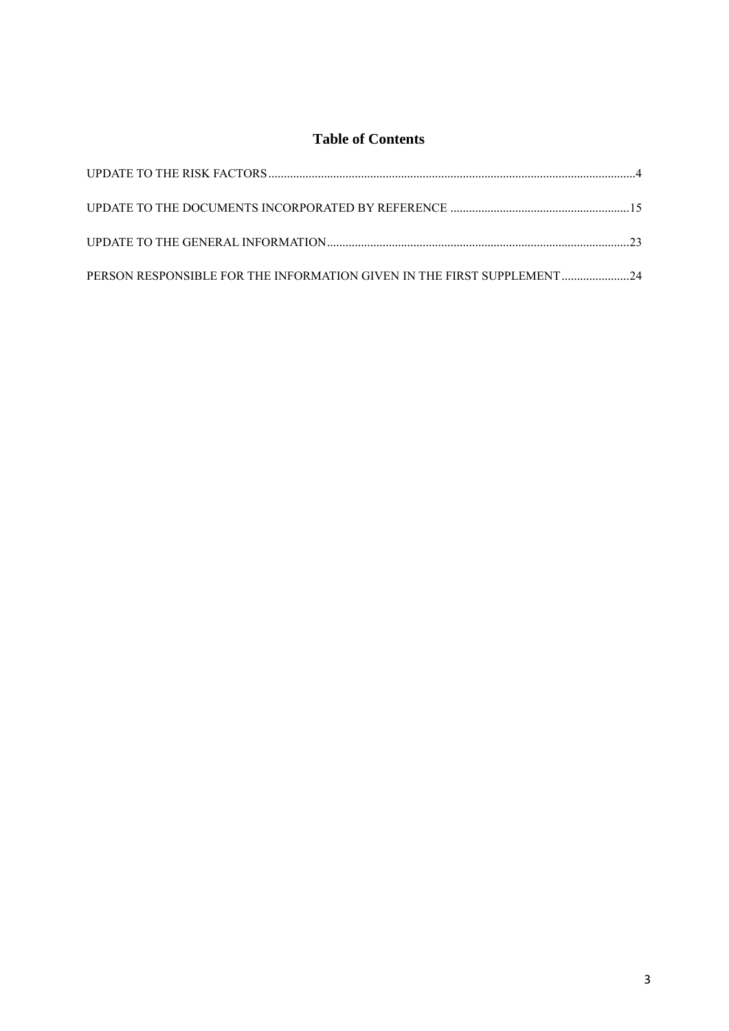# **Table of Contents**

| PERSON RESPONSIBLE FOR THE INFORMATION GIVEN IN THE FIRST SUPPLEMENT 24 |  |
|-------------------------------------------------------------------------|--|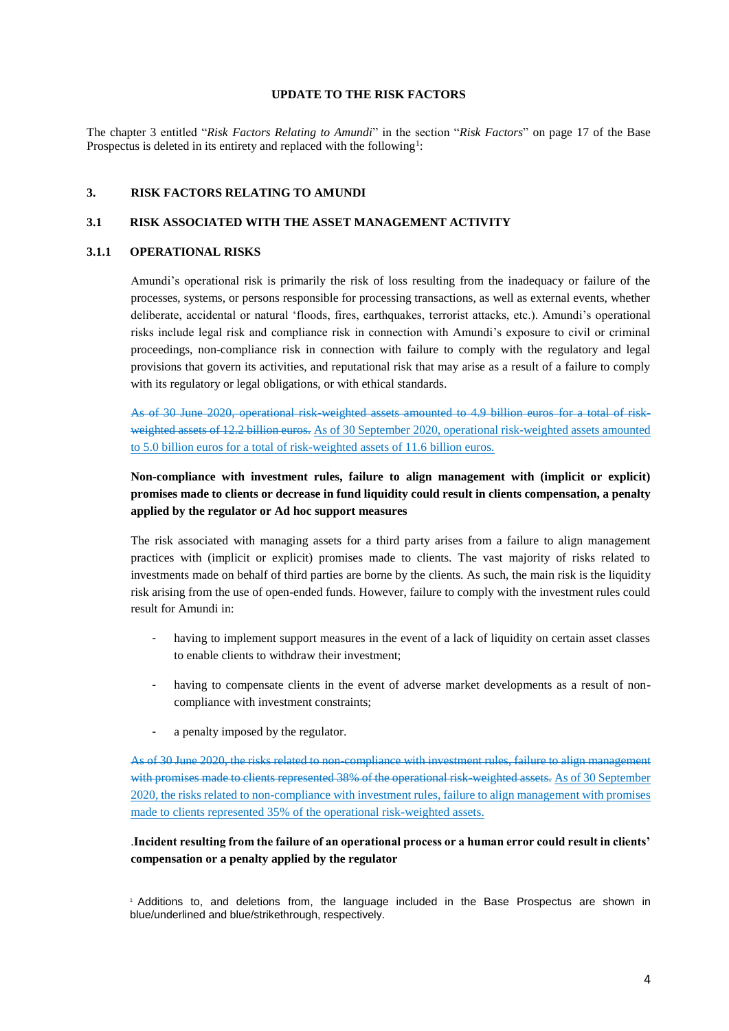#### **UPDATE TO THE RISK FACTORS**

The chapter 3 entitled "*Risk Factors Relating to Amundi*" in the section "*Risk Factors*" on page 17 of the Base Prospectus is deleted in its entirety and replaced with the following<sup>1</sup>:

#### **3. RISK FACTORS RELATING TO AMUNDI**

#### **3.1 RISK ASSOCIATED WITH THE ASSET MANAGEMENT ACTIVITY**

#### **3.1.1 OPERATIONAL RISKS**

Amundi's operational risk is primarily the risk of loss resulting from the inadequacy or failure of the processes, systems, or persons responsible for processing transactions, as well as external events, whether deliberate, accidental or natural 'floods, fires, earthquakes, terrorist attacks, etc.). Amundi's operational risks include legal risk and compliance risk in connection with Amundi's exposure to civil or criminal proceedings, non-compliance risk in connection with failure to comply with the regulatory and legal provisions that govern its activities, and reputational risk that may arise as a result of a failure to comply with its regulatory or legal obligations, or with ethical standards.

As of 30 June 2020, operational risk-weighted assets amounted to 4.9 billion euros for a total of riskweighted assets of 12.2 billion euros. As of 30 September 2020, operational risk-weighted assets amounted to 5.0 billion euros for a total of risk-weighted assets of 11.6 billion euros.

# **Non-compliance with investment rules, failure to align management with (implicit or explicit) promises made to clients or decrease in fund liquidity could result in clients compensation, a penalty applied by the regulator or Ad hoc support measures**

The risk associated with managing assets for a third party arises from a failure to align management practices with (implicit or explicit) promises made to clients. The vast majority of risks related to investments made on behalf of third parties are borne by the clients. As such, the main risk is the liquidity risk arising from the use of open-ended funds. However, failure to comply with the investment rules could result for Amundi in:

- having to implement support measures in the event of a lack of liquidity on certain asset classes to enable clients to withdraw their investment;
- having to compensate clients in the event of adverse market developments as a result of noncompliance with investment constraints;
- a penalty imposed by the regulator.

As of 30 June 2020, the risks related to non-compliance with investment rules, failure to align management with promises made to clients represented 38% of the operational risk-weighted assets. As of 30 September 2020, the risks related to non-compliance with investment rules, failure to align management with promises made to clients represented 35% of the operational risk-weighted assets.

# .**Incident resulting from the failure of an operational process or a human error could result in clients' compensation or a penalty applied by the regulator**

<sup>1</sup>Additions to, and deletions from, the language included in the Base Prospectus are shown in blue/underlined and blue/strikethrough, respectively.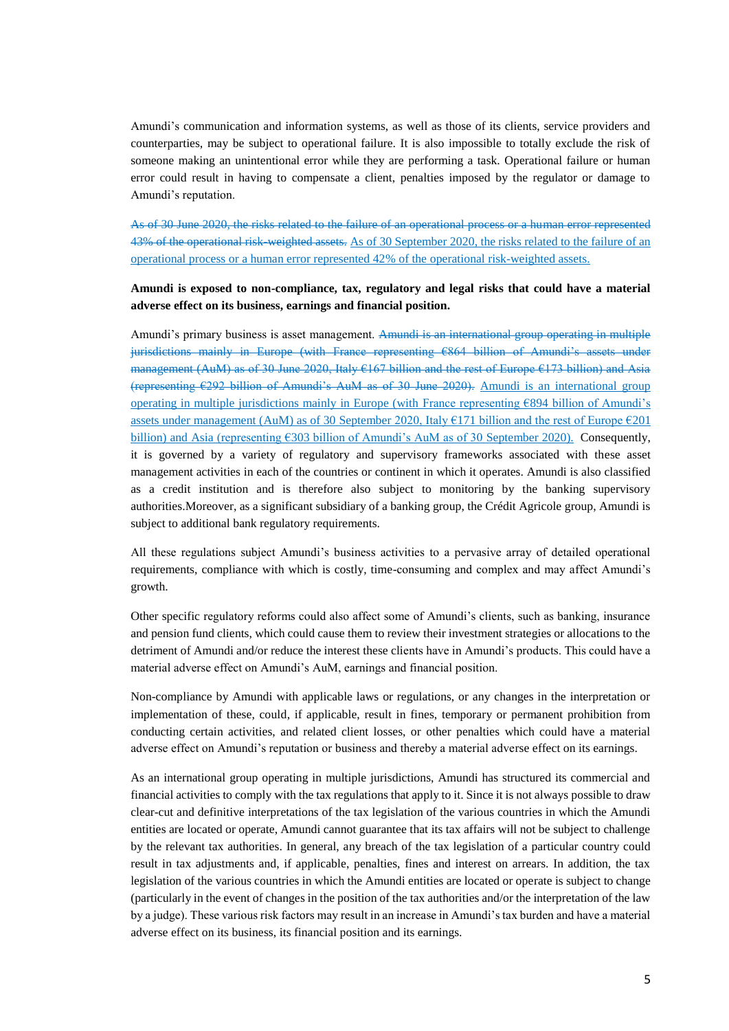Amundi's communication and information systems, as well as those of its clients, service providers and counterparties, may be subject to operational failure. It is also impossible to totally exclude the risk of someone making an unintentional error while they are performing a task. Operational failure or human error could result in having to compensate a client, penalties imposed by the regulator or damage to Amundi's reputation.

As of 30 June 2020, the risks related to the failure of an operational process or a human error represented 43% of the operational risk-weighted assets. As of 30 September 2020, the risks related to the failure of an operational process or a human error represented 42% of the operational risk-weighted assets.

# **Amundi is exposed to non-compliance, tax, regulatory and legal risks that could have a material adverse effect on its business, earnings and financial position.**

Amundi's primary business is asset management. Amundi is an international group operating in multiple jurisdictions mainly in Europe (with France representing €864 billion of Amundi's assets under management (AuM) as of 30 June 2020, Italy €167 billion and the rest of Europe €173 billion) and Asia (representing €292 billion of Amundi's AuM as of 30 June 2020). Amundi is an international group operating in multiple jurisdictions mainly in Europe (with France representing €894 billion of Amundi's assets under management (AuM) as of 30 September 2020, Italy €171 billion and the rest of Europe €201 billion) and Asia (representing €303 billion of Amundi's AuM as of 30 September 2020). Consequently, it is governed by a variety of regulatory and supervisory frameworks associated with these asset management activities in each of the countries or continent in which it operates. Amundi is also classified as a credit institution and is therefore also subject to monitoring by the banking supervisory authorities.Moreover, as a significant subsidiary of a banking group, the Crédit Agricole group, Amundi is subject to additional bank regulatory requirements.

All these regulations subject Amundi's business activities to a pervasive array of detailed operational requirements, compliance with which is costly, time-consuming and complex and may affect Amundi's growth.

Other specific regulatory reforms could also affect some of Amundi's clients, such as banking, insurance and pension fund clients, which could cause them to review their investment strategies or allocations to the detriment of Amundi and/or reduce the interest these clients have in Amundi's products. This could have a material adverse effect on Amundi's AuM, earnings and financial position.

Non-compliance by Amundi with applicable laws or regulations, or any changes in the interpretation or implementation of these, could, if applicable, result in fines, temporary or permanent prohibition from conducting certain activities, and related client losses, or other penalties which could have a material adverse effect on Amundi's reputation or business and thereby a material adverse effect on its earnings.

As an international group operating in multiple jurisdictions, Amundi has structured its commercial and financial activities to comply with the tax regulations that apply to it. Since it is not always possible to draw clear-cut and definitive interpretations of the tax legislation of the various countries in which the Amundi entities are located or operate, Amundi cannot guarantee that its tax affairs will not be subject to challenge by the relevant tax authorities. In general, any breach of the tax legislation of a particular country could result in tax adjustments and, if applicable, penalties, fines and interest on arrears. In addition, the tax legislation of the various countries in which the Amundi entities are located or operate is subject to change (particularly in the event of changes in the position of the tax authorities and/or the interpretation of the law by a judge). These various risk factors may result in an increase in Amundi's tax burden and have a material adverse effect on its business, its financial position and its earnings.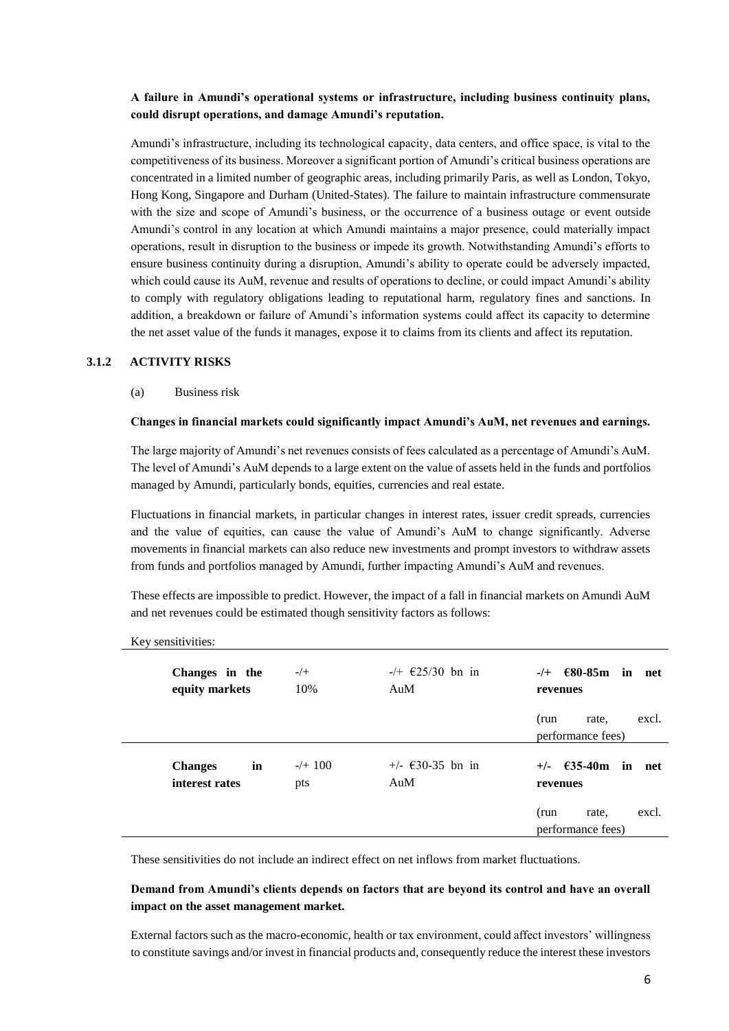# **A failure in Amundi's operational systems or infrastructure, including business continuity plans, could disrupt operations, and damage Amundi's reputation.**

Amundi's infrastructure, including its technological capacity, data centers, and office space, is vital to the competitiveness of its business. Moreover a significant portion of Amundi's critical business operations are concentrated in a limited number of geographic areas, including primarily Paris, as well as London, Tokyo, Hong Kong, Singapore and Durham (United-States). The failure to maintain infrastructure commensurate with the size and scope of Amundi's business, or the occurrence of a business outage or event outside Amundi's control in any location at which Amundi maintains a major presence, could materially impact operations, result in disruption to the business or impede its growth. Notwithstanding Amundi's efforts to ensure business continuity during a disruption, Amundi's ability to operate could be adversely impacted, which could cause its AuM, revenue and results of operations to decline, or could impact Amundi's ability to comply with regulatory obligations leading to reputational harm, regulatory fines and sanctions. In addition, a breakdown or failure of Amundi's information systems could affect its capacity to determine the net asset value of the funds it manages, expose it to claims from its clients and affect its reputation.

### **3.1.2 ACTIVITY RISKS**

(a) Business risk

#### **Changes in financial markets could significantly impact Amundi's AuM, net revenues and earnings.**

The large majority of Amundi's net revenues consists of fees calculated as a percentage of Amundi's AuM. The level of Amundi's AuM depends to a large extent on the value of assets held in the funds and portfolios managed by Amundi, particularly bonds, equities, currencies and real estate.

Fluctuations in financial markets, in particular changes in interest rates, issuer credit spreads, currencies and the value of equities, can cause the value of Amundi's AuM to change significantly. Adverse movements in financial markets can also reduce new investments and prompt investors to withdraw assets from funds and portfolios managed by Amundi, further impacting Amundi's AuM and revenues.

These effects are impossible to predict. However, the impact of a fall in financial markets on Amundi AuM and net revenues could be estimated though sensitivity factors as follows:

| Changes in the<br>equity markets       | $-/+$<br>10%     | $-/ \in$ 25/30 bn in<br>AuM | $\epsilon$ 80-85m in net<br>$-/+$<br>revenues |
|----------------------------------------|------------------|-----------------------------|-----------------------------------------------|
|                                        |                  |                             | excl.<br>(run<br>rate.<br>performance fees)   |
| in<br><b>Changes</b><br>interest rates | $-/+$ 100<br>pts | $+/ \in$ 30-35 bn in<br>AuM | $-635 - 40$ m<br>in net<br>$+/-$<br>revenues  |
|                                        |                  |                             | excl.<br>(run<br>rate.<br>performance fees)   |

Key sensitivities:

These sensitivities do not include an indirect effect on net inflows from market fluctuations.

# **Demand from Amundi's clients depends on factors that are beyond its control and have an overall impact on the asset management market.**

External factors such as the macro-economic, health or tax environment, could affect investors' willingness to constitute savings and/or invest in financial products and, consequently reduce the interest these investors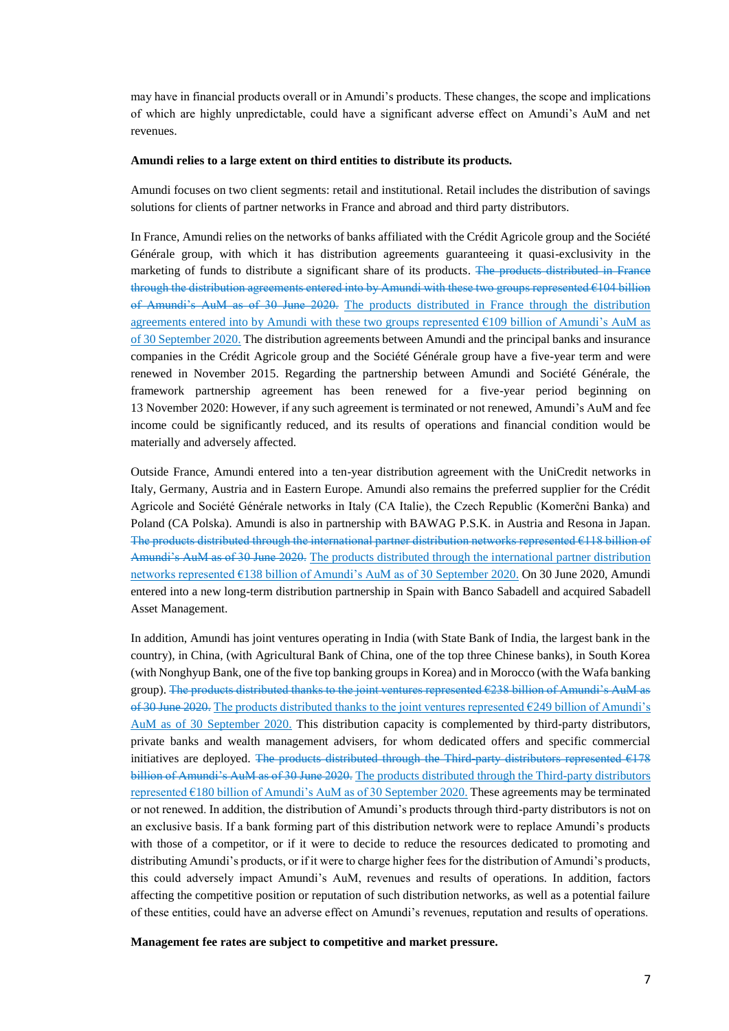may have in financial products overall or in Amundi's products. These changes, the scope and implications of which are highly unpredictable, could have a significant adverse effect on Amundi's AuM and net revenues.

#### **Amundi relies to a large extent on third entities to distribute its products.**

Amundi focuses on two client segments: retail and institutional. Retail includes the distribution of savings solutions for clients of partner networks in France and abroad and third party distributors.

In France, Amundi relies on the networks of banks affiliated with the Crédit Agricole group and the Société Générale group, with which it has distribution agreements guaranteeing it quasi-exclusivity in the marketing of funds to distribute a significant share of its products. The products distributed in France through the distribution agreements entered into by Amundi with these two groups represented €104 billion of Amundi's AuM as of 30 June 2020. The products distributed in France through the distribution agreements entered into by Amundi with these two groups represented €109 billion of Amundi's AuM as of 30 September 2020. The distribution agreements between Amundi and the principal banks and insurance companies in the Crédit Agricole group and the Société Générale group have a five-year term and were renewed in November 2015. Regarding the partnership between Amundi and Société Générale, the framework partnership agreement has been renewed for a five-year period beginning on 13 November 2020: However, if any such agreement is terminated or not renewed, Amundi's AuM and fee income could be significantly reduced, and its results of operations and financial condition would be materially and adversely affected.

Outside France, Amundi entered into a ten-year distribution agreement with the UniCredit networks in Italy, Germany, Austria and in Eastern Europe. Amundi also remains the preferred supplier for the Crédit Agricole and Société Générale networks in Italy (CA Italie), the Czech Republic (Komerčni Banka) and Poland (CA Polska). Amundi is also in partnership with BAWAG P.S.K. in Austria and Resona in Japan. The products distributed through the international partner distribution networks represented €118 billion of Amundi's AuM as of 30 June 2020. The products distributed through the international partner distribution networks represented €138 billion of Amundi's AuM as of 30 September 2020. On 30 June 2020, Amundi entered into a new long-term distribution partnership in Spain with Banco Sabadell and acquired Sabadell Asset Management.

In addition, Amundi has joint ventures operating in India (with State Bank of India, the largest bank in the country), in China, (with Agricultural Bank of China, one of the top three Chinese banks), in South Korea (with Nonghyup Bank, one of the five top banking groups in Korea) and in Morocco (with the Wafa banking group). The products distributed thanks to the joint ventures represented €238 billion of Amundi's AuM as of 30 June 2020. The products distributed thanks to the joint ventures represented  $\epsilon$ 249 billion of Amundi's AuM as of 30 September 2020. This distribution capacity is complemented by third-party distributors, private banks and wealth management advisers, for whom dedicated offers and specific commercial initiatives are deployed. The products distributed through the Third-party distributors represented  $E178$ billion of Amundi's AuM as of 30 June 2020. The products distributed through the Third-party distributors represented €180 billion of Amundi's AuM as of 30 September 2020. These agreements may be terminated or not renewed. In addition, the distribution of Amundi's products through third-party distributors is not on an exclusive basis. If a bank forming part of this distribution network were to replace Amundi's products with those of a competitor, or if it were to decide to reduce the resources dedicated to promoting and distributing Amundi's products, or if it were to charge higher fees for the distribution of Amundi's products, this could adversely impact Amundi's AuM, revenues and results of operations. In addition, factors affecting the competitive position or reputation of such distribution networks, as well as a potential failure of these entities, could have an adverse effect on Amundi's revenues, reputation and results of operations.

**Management fee rates are subject to competitive and market pressure.**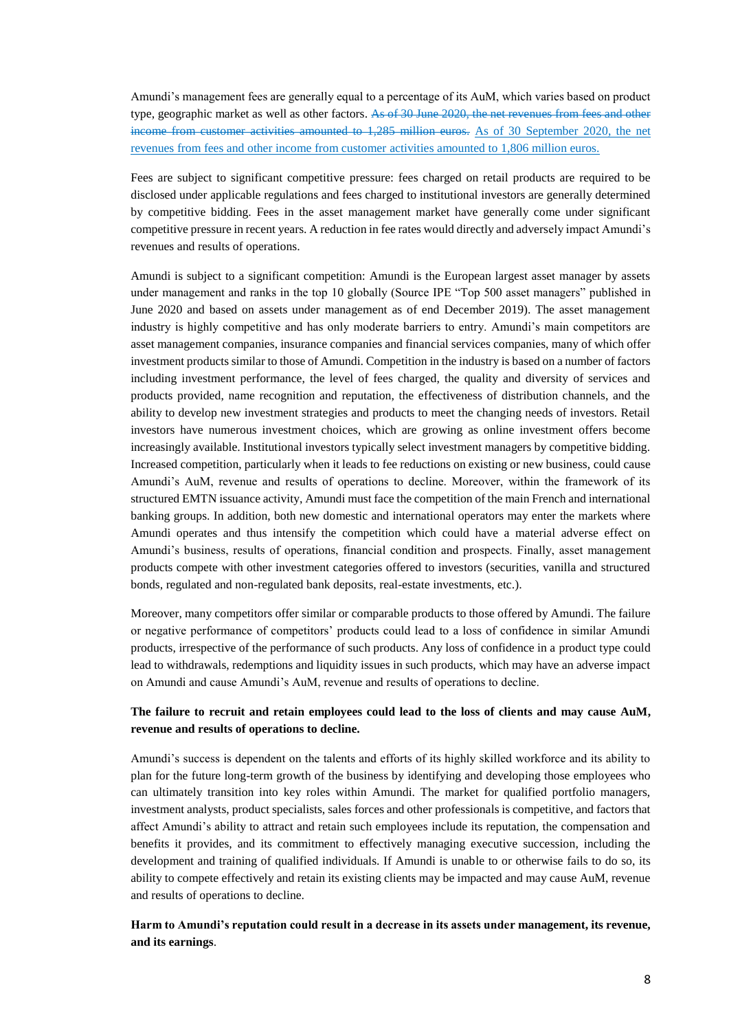Amundi's management fees are generally equal to a percentage of its AuM, which varies based on product type, geographic market as well as other factors. As of 30 June 2020, the net revenues from fees and other income from customer activities amounted to 1,285 million euros. As of 30 September 2020, the net revenues from fees and other income from customer activities amounted to 1,806 million euros.

Fees are subject to significant competitive pressure: fees charged on retail products are required to be disclosed under applicable regulations and fees charged to institutional investors are generally determined by competitive bidding. Fees in the asset management market have generally come under significant competitive pressure in recent years. A reduction in fee rates would directly and adversely impact Amundi's revenues and results of operations.

Amundi is subject to a significant competition: Amundi is the European largest asset manager by assets under management and ranks in the top 10 globally (Source IPE "Top 500 asset managers" published in June 2020 and based on assets under management as of end December 2019). The asset management industry is highly competitive and has only moderate barriers to entry. Amundi's main competitors are asset management companies, insurance companies and financial services companies, many of which offer investment products similar to those of Amundi. Competition in the industry is based on a number of factors including investment performance, the level of fees charged, the quality and diversity of services and products provided, name recognition and reputation, the effectiveness of distribution channels, and the ability to develop new investment strategies and products to meet the changing needs of investors. Retail investors have numerous investment choices, which are growing as online investment offers become increasingly available. Institutional investors typically select investment managers by competitive bidding. Increased competition, particularly when it leads to fee reductions on existing or new business, could cause Amundi's AuM, revenue and results of operations to decline. Moreover, within the framework of its structured EMTN issuance activity, Amundi must face the competition of the main French and international banking groups. In addition, both new domestic and international operators may enter the markets where Amundi operates and thus intensify the competition which could have a material adverse effect on Amundi's business, results of operations, financial condition and prospects. Finally, asset management products compete with other investment categories offered to investors (securities, vanilla and structured bonds, regulated and non-regulated bank deposits, real-estate investments, etc.).

Moreover, many competitors offer similar or comparable products to those offered by Amundi. The failure or negative performance of competitors' products could lead to a loss of confidence in similar Amundi products, irrespective of the performance of such products. Any loss of confidence in a product type could lead to withdrawals, redemptions and liquidity issues in such products, which may have an adverse impact on Amundi and cause Amundi's AuM, revenue and results of operations to decline.

# **The failure to recruit and retain employees could lead to the loss of clients and may cause AuM, revenue and results of operations to decline.**

Amundi's success is dependent on the talents and efforts of its highly skilled workforce and its ability to plan for the future long-term growth of the business by identifying and developing those employees who can ultimately transition into key roles within Amundi. The market for qualified portfolio managers, investment analysts, product specialists, sales forces and other professionals is competitive, and factors that affect Amundi's ability to attract and retain such employees include its reputation, the compensation and benefits it provides, and its commitment to effectively managing executive succession, including the development and training of qualified individuals. If Amundi is unable to or otherwise fails to do so, its ability to compete effectively and retain its existing clients may be impacted and may cause AuM, revenue and results of operations to decline.

**Harm to Amundi's reputation could result in a decrease in its assets under management, its revenue, and its earnings**.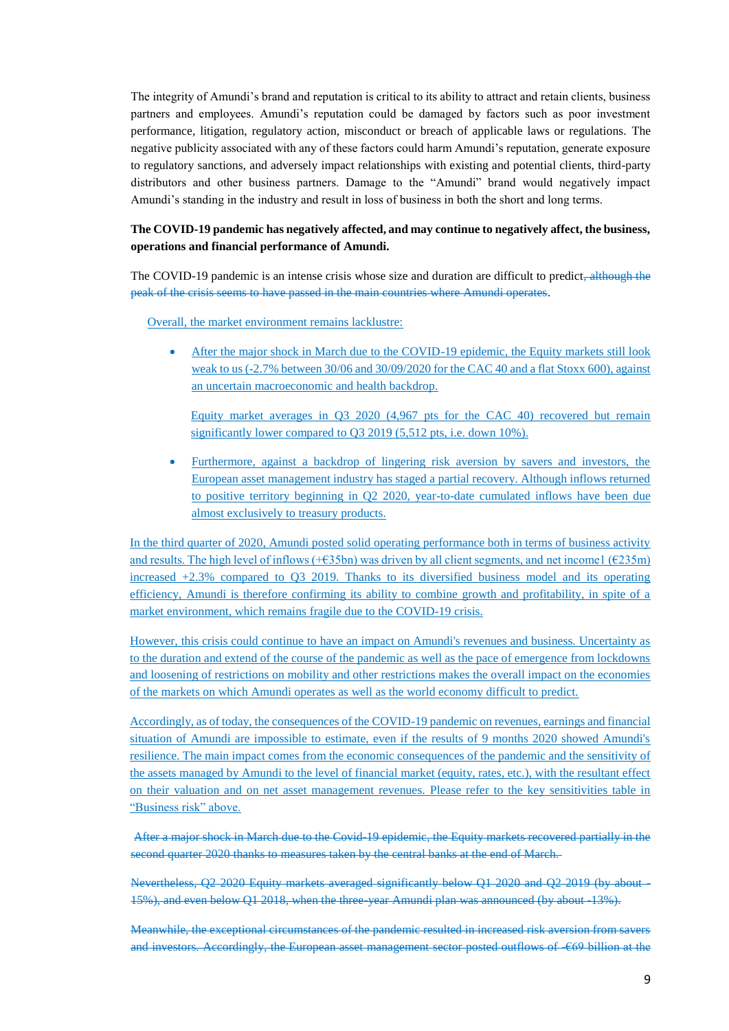The integrity of Amundi's brand and reputation is critical to its ability to attract and retain clients, business partners and employees. Amundi's reputation could be damaged by factors such as poor investment performance, litigation, regulatory action, misconduct or breach of applicable laws or regulations. The negative publicity associated with any of these factors could harm Amundi's reputation, generate exposure to regulatory sanctions, and adversely impact relationships with existing and potential clients, third-party distributors and other business partners. Damage to the "Amundi" brand would negatively impact Amundi's standing in the industry and result in loss of business in both the short and long terms.

# **The COVID-19 pandemic has negatively affected, and may continue to negatively affect, the business, operations and financial performance of Amundi.**

The COVID-19 pandemic is an intense crisis whose size and duration are difficult to predict<del>, although the</del> peak of the crisis seems to have passed in the main countries where Amundi operates.

Overall, the market environment remains lacklustre:

 After the major shock in March due to the COVID-19 epidemic, the Equity markets still look weak to us (-2.7% between 30/06 and 30/09/2020 for the CAC 40 and a flat Stoxx 600), against an uncertain macroeconomic and health backdrop.

Equity market averages in Q3 2020 (4,967 pts for the CAC 40) recovered but remain significantly lower compared to Q3 2019 (5,512 pts, i.e. down 10%).

 Furthermore, against a backdrop of lingering risk aversion by savers and investors, the European asset management industry has staged a partial recovery. Although inflows returned to positive territory beginning in Q2 2020, year-to-date cumulated inflows have been due almost exclusively to treasury products.

In the third quarter of 2020, Amundi posted solid operating performance both in terms of business activity and results. The high level of inflows (+€35bn) was driven by all client segments, and net income1 (€235m) increased +2.3% compared to Q3 2019. Thanks to its diversified business model and its operating efficiency, Amundi is therefore confirming its ability to combine growth and profitability, in spite of a market environment, which remains fragile due to the COVID-19 crisis.

However, this crisis could continue to have an impact on Amundi's revenues and business. Uncertainty as to the duration and extend of the course of the pandemic as well as the pace of emergence from lockdowns and loosening of restrictions on mobility and other restrictions makes the overall impact on the economies of the markets on which Amundi operates as well as the world economy difficult to predict.

Accordingly, as of today, the consequences of the COVID-19 pandemic on revenues, earnings and financial situation of Amundi are impossible to estimate, even if the results of 9 months 2020 showed Amundi's resilience. The main impact comes from the economic consequences of the pandemic and the sensitivity of the assets managed by Amundi to the level of financial market (equity, rates, etc.), with the resultant effect on their valuation and on net asset management revenues. Please refer to the key sensitivities table in "Business risk" above.

After a major shock in March due to the Covid-19 epidemic, the Equity markets recovered partially in the second quarter 2020 thanks to measures taken by the central banks at the end of March.

Nevertheless, Q2 2020 Equity markets averaged significantly below Q1 2020 and Q2 2019 (by about - 15%), and even below O1 2018, when the three-year Amundi plan was announced (by about -13%).

Meanwhile, the exceptional circumstances of the pandemic resulted in increased risk aversion from savers and investors. Accordingly, the European asset management sector posted outflows of -€69 billion at the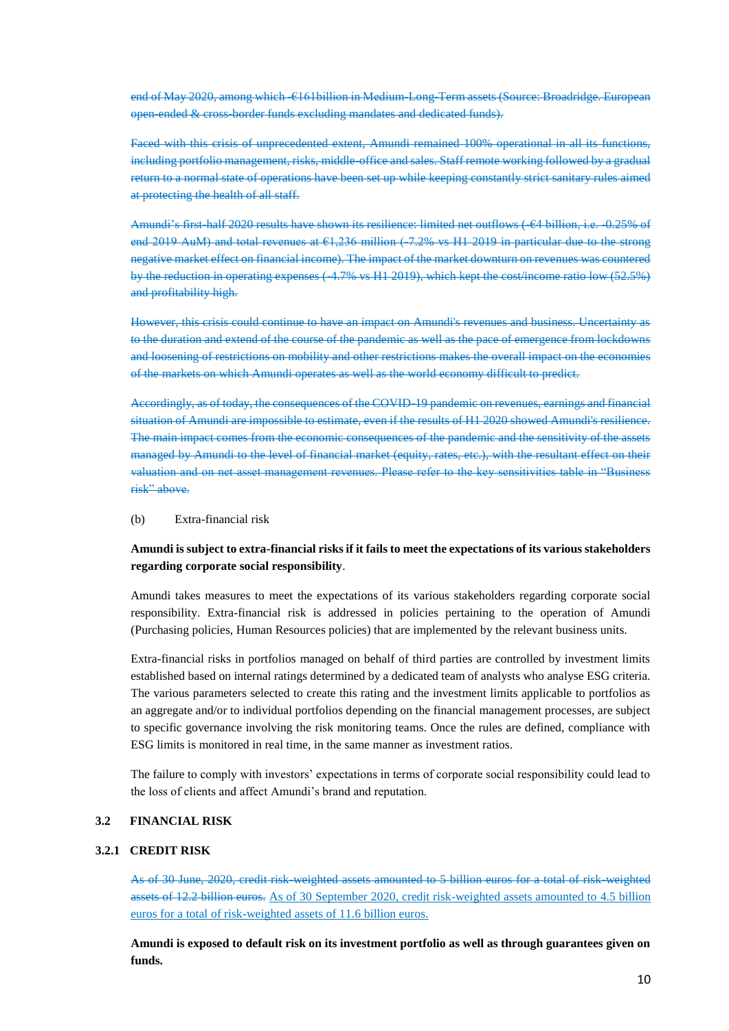end of May 2020, among which  $\epsilon$ 161billion in Medium-Long-Term assets (Source: Broadridge. European open-ended & cross-border funds excluding mandates and dedicated funds).

Faced with this crisis of unprecedented extent, Amundi remained 100% operational in all its functions, including portfolio management, risks, middle-office and sales. Staff remote working followed by a gradual return to a normal state of operations have been set up while keeping constantly strict sanitary rules aimed at protecting the health of all staff.

Amundi's first-half 2020 results have shown its resilience: limited net outflows (-€4 billion, i.e. -0.25% of end 2019 AuM) and total revenues at  $61,236$  million (-7.2% vs H1 2019 in particular due to the strong negative market effect on financial income). The impact of the market downturn on revenues was countered by the reduction in operating expenses (-4.7% vs H1 2019), which kept the cost/income ratio low (52.5%) and profitability high.

However, this crisis could continue to have an impact on Amundi's revenues and business. Uncertainty as to the duration and extend of the course of the pandemic as well as the pace of emergence from lockdowns and loosening of restrictions on mobility and other restrictions makes the overall impact on the economies of the markets on which Amundi operates as well as the world economy difficult to predict.

Accordingly, as of today, the consequences of the COVID-19 pandemic on revenues, earnings and financial situation of Amundi are impossible to estimate, even if the results of H1 2020 showed Amundi's resilience. The main impact comes from the economic consequences of the pandemic and the sensitivity of the assets managed by Amundi to the level of financial market (equity, rates, etc.), with the resultant effect on their valuation and on net asset management revenues. Please refer to the key sensitivities table in "Business risk" above.

### (b) Extra-financial risk

# **Amundi is subject to extra-financial risks if it fails to meet the expectations of its various stakeholders regarding corporate social responsibility**.

Amundi takes measures to meet the expectations of its various stakeholders regarding corporate social responsibility. Extra-financial risk is addressed in policies pertaining to the operation of Amundi (Purchasing policies, Human Resources policies) that are implemented by the relevant business units.

Extra-financial risks in portfolios managed on behalf of third parties are controlled by investment limits established based on internal ratings determined by a dedicated team of analysts who analyse ESG criteria. The various parameters selected to create this rating and the investment limits applicable to portfolios as an aggregate and/or to individual portfolios depending on the financial management processes, are subject to specific governance involving the risk monitoring teams. Once the rules are defined, compliance with ESG limits is monitored in real time, in the same manner as investment ratios.

The failure to comply with investors' expectations in terms of corporate social responsibility could lead to the loss of clients and affect Amundi's brand and reputation.

#### **3.2 FINANCIAL RISK**

# **3.2.1 CREDIT RISK**

As of 30 June, 2020, credit risk-weighted assets amounted to 5 billion euros for a total of risk-weighted assets of 12.2 billion euros. As of 30 September 2020, credit risk-weighted assets amounted to 4.5 billion euros for a total of risk-weighted assets of 11.6 billion euros.

**Amundi is exposed to default risk on its investment portfolio as well as through guarantees given on funds.**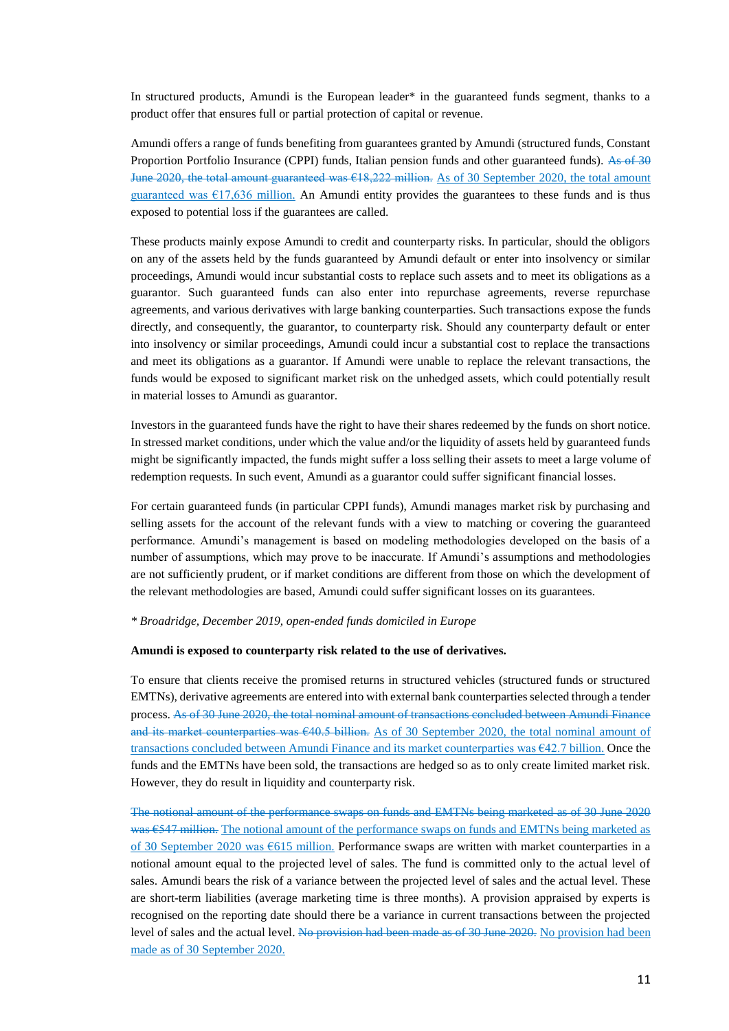In structured products, Amundi is the European leader\* in the guaranteed funds segment, thanks to a product offer that ensures full or partial protection of capital or revenue.

Amundi offers a range of funds benefiting from guarantees granted by Amundi (structured funds, Constant Proportion Portfolio Insurance (CPPI) funds, Italian pension funds and other guaranteed funds). As of 30 June 2020, the total amount guaranteed was €18,222 million. As of 30 September 2020, the total amount guaranteed was  $\epsilon$ 17,636 million. An Amundi entity provides the guarantees to these funds and is thus exposed to potential loss if the guarantees are called.

These products mainly expose Amundi to credit and counterparty risks. In particular, should the obligors on any of the assets held by the funds guaranteed by Amundi default or enter into insolvency or similar proceedings, Amundi would incur substantial costs to replace such assets and to meet its obligations as a guarantor. Such guaranteed funds can also enter into repurchase agreements, reverse repurchase agreements, and various derivatives with large banking counterparties. Such transactions expose the funds directly, and consequently, the guarantor, to counterparty risk. Should any counterparty default or enter into insolvency or similar proceedings, Amundi could incur a substantial cost to replace the transactions and meet its obligations as a guarantor. If Amundi were unable to replace the relevant transactions, the funds would be exposed to significant market risk on the unhedged assets, which could potentially result in material losses to Amundi as guarantor.

Investors in the guaranteed funds have the right to have their shares redeemed by the funds on short notice. In stressed market conditions, under which the value and/or the liquidity of assets held by guaranteed funds might be significantly impacted, the funds might suffer a loss selling their assets to meet a large volume of redemption requests. In such event, Amundi as a guarantor could suffer significant financial losses.

For certain guaranteed funds (in particular CPPI funds), Amundi manages market risk by purchasing and selling assets for the account of the relevant funds with a view to matching or covering the guaranteed performance. Amundi's management is based on modeling methodologies developed on the basis of a number of assumptions, which may prove to be inaccurate. If Amundi's assumptions and methodologies are not sufficiently prudent, or if market conditions are different from those on which the development of the relevant methodologies are based, Amundi could suffer significant losses on its guarantees.

#### *\* Broadridge, December 2019, open-ended funds domiciled in Europe*

#### **Amundi is exposed to counterparty risk related to the use of derivatives.**

To ensure that clients receive the promised returns in structured vehicles (structured funds or structured EMTNs), derivative agreements are entered into with external bank counterparties selected through a tender process. As of 30 June 2020, the total nominal amount of transactions concluded between Amundi Finance and its market counterparties was €40.5 billion. As of 30 September 2020, the total nominal amount of transactions concluded between Amundi Finance and its market counterparties was €42.7 billion. Once the funds and the EMTNs have been sold, the transactions are hedged so as to only create limited market risk. However, they do result in liquidity and counterparty risk.

The notional amount of the performance swaps on funds and EMTNs being marketed as of 30 June 2020 was  $\epsilon$ 547 million. The notional amount of the performance swaps on funds and EMTNs being marketed as of 30 September 2020 was €615 million. Performance swaps are written with market counterparties in a notional amount equal to the projected level of sales. The fund is committed only to the actual level of sales. Amundi bears the risk of a variance between the projected level of sales and the actual level. These are short-term liabilities (average marketing time is three months). A provision appraised by experts is recognised on the reporting date should there be a variance in current transactions between the projected level of sales and the actual level. No provision had been made as of 30 June 2020. No provision had been made as of 30 September 2020.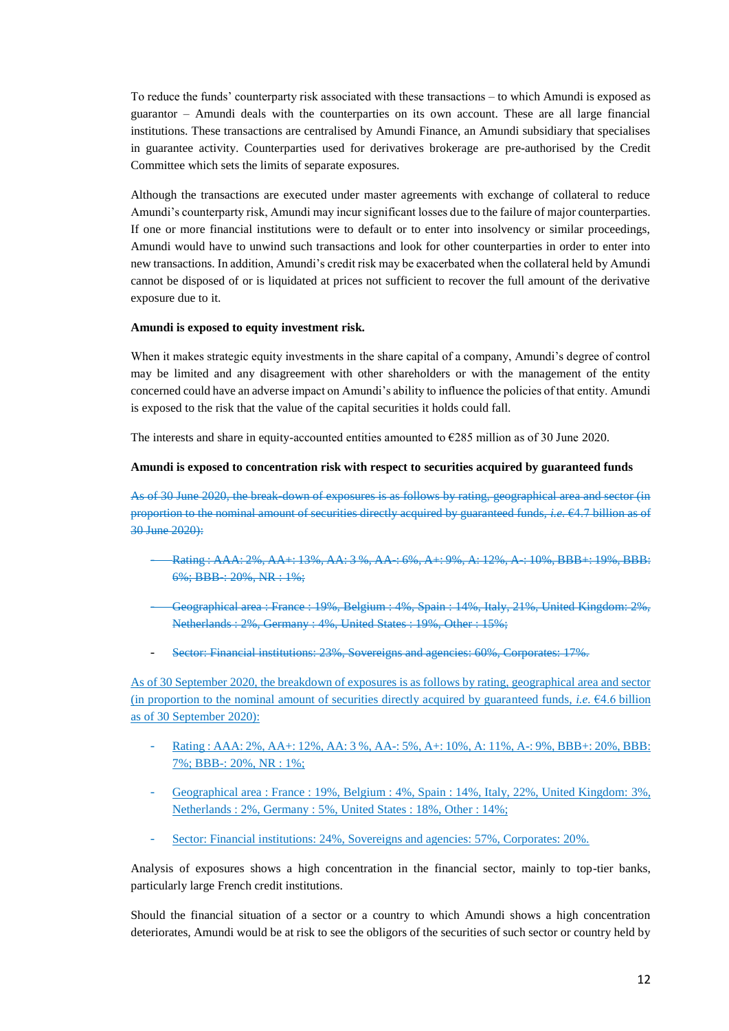To reduce the funds' counterparty risk associated with these transactions – to which Amundi is exposed as guarantor – Amundi deals with the counterparties on its own account. These are all large financial institutions. These transactions are centralised by Amundi Finance, an Amundi subsidiary that specialises in guarantee activity. Counterparties used for derivatives brokerage are pre-authorised by the Credit Committee which sets the limits of separate exposures.

Although the transactions are executed under master agreements with exchange of collateral to reduce Amundi's counterparty risk, Amundi may incur significant losses due to the failure of major counterparties. If one or more financial institutions were to default or to enter into insolvency or similar proceedings, Amundi would have to unwind such transactions and look for other counterparties in order to enter into new transactions. In addition, Amundi's credit risk may be exacerbated when the collateral held by Amundi cannot be disposed of or is liquidated at prices not sufficient to recover the full amount of the derivative exposure due to it.

#### **Amundi is exposed to equity investment risk.**

When it makes strategic equity investments in the share capital of a company, Amundi's degree of control may be limited and any disagreement with other shareholders or with the management of the entity concerned could have an adverse impact on Amundi's ability to influence the policies of that entity. Amundi is exposed to the risk that the value of the capital securities it holds could fall.

The interests and share in equity-accounted entities amounted to  $\epsilon$ 285 million as of 30 June 2020.

#### **Amundi is exposed to concentration risk with respect to securities acquired by guaranteed funds**

As of 30 June 2020, the break-down of exposures is as follows by rating, geographical area and sector (in proportion to the nominal amount of securities directly acquired by guaranteed funds, *i.e.* €4.7 billion as of 30 June 2020):

- Rating : AAA: 2%, AA+: 13%, AA: 3 %, AA-: 6%, A+: 9%, A: 12%, A-: 10%, BBB+: 19%, BBB: 6%; BBB-: 20%, NR : 1%;
- Geographical area : France : 19%, Belgium : 4%, Spain : 14%, Italy, 21%, United Kingdom: 2%, Netherlands : 2%, Germany : 4%, United States : 19%, Other : 15%;
- Sector: Financial institutions: 23%, Sovereigns and agencies: 60%, Corporates: 17%.

As of 30 September 2020, the breakdown of exposures is as follows by rating, geographical area and sector (in proportion to the nominal amount of securities directly acquired by guaranteed funds, *i.e.*  $\epsilon$ 4.6 billion as of 30 September 2020):

- Rating : AAA: 2%, AA+: 12%, AA: 3 %, AA-: 5%, A+: 10%, A: 11%, A-: 9%, BBB+: 20%, BBB: 7%; BBB-: 20%, NR : 1%;
- Geographical area : France : 19%, Belgium : 4%, Spain : 14%, Italy, 22%, United Kingdom: 3%, Netherlands : 2%, Germany : 5%, United States : 18%, Other : 14%;
- Sector: Financial institutions: 24%, Sovereigns and agencies: 57%, Corporates: 20%.

Analysis of exposures shows a high concentration in the financial sector, mainly to top-tier banks, particularly large French credit institutions.

Should the financial situation of a sector or a country to which Amundi shows a high concentration deteriorates, Amundi would be at risk to see the obligors of the securities of such sector or country held by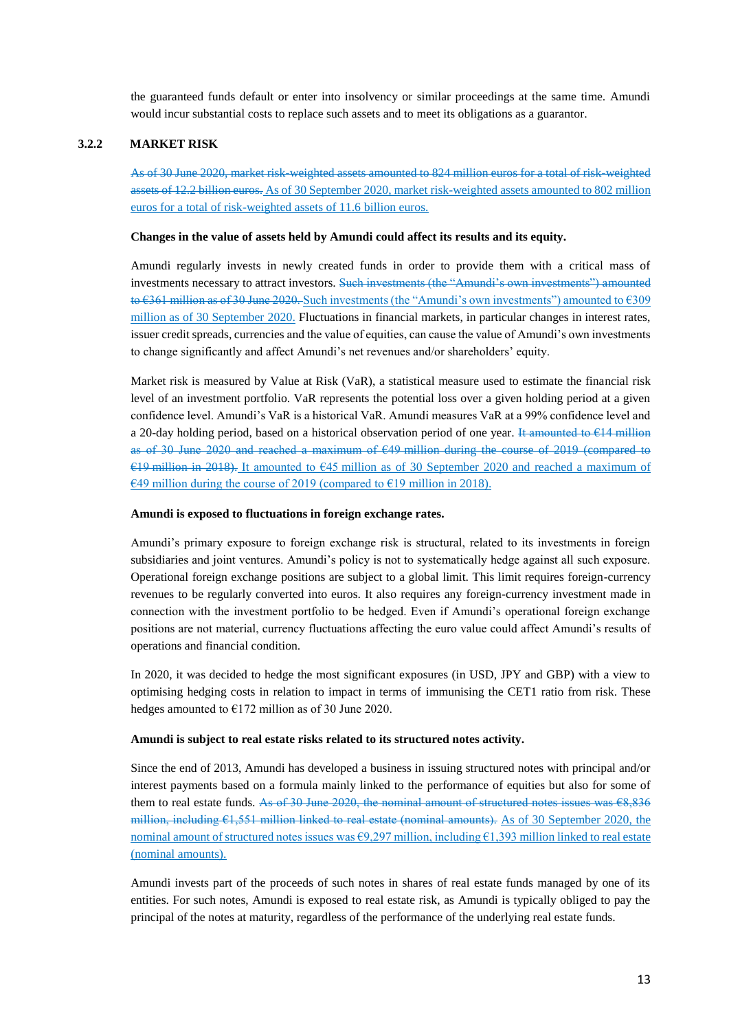the guaranteed funds default or enter into insolvency or similar proceedings at the same time. Amundi would incur substantial costs to replace such assets and to meet its obligations as a guarantor.

#### **3.2.2 MARKET RISK**

As of 30 June 2020, market risk-weighted assets amounted to 824 million euros for a total of risk-weighted assets of 12.2 billion euros. As of 30 September 2020, market risk-weighted assets amounted to 802 million euros for a total of risk-weighted assets of 11.6 billion euros.

#### **Changes in the value of assets held by Amundi could affect its results and its equity.**

Amundi regularly invests in newly created funds in order to provide them with a critical mass of investments necessary to attract investors. Such investments (the "Amundi's own investments") amounted to €361 million as of 30 June 2020. Such investments (the "Amundi's own investments") amounted to €309 million as of 30 September 2020. Fluctuations in financial markets, in particular changes in interest rates, issuer credit spreads, currencies and the value of equities, can cause the value of Amundi's own investments to change significantly and affect Amundi's net revenues and/or shareholders' equity.

Market risk is measured by Value at Risk (VaR), a statistical measure used to estimate the financial risk level of an investment portfolio. VaR represents the potential loss over a given holding period at a given confidence level. Amundi's VaR is a historical VaR. Amundi measures VaR at a 99% confidence level and a 20-day holding period, based on a historical observation period of one year. It amounted to  $\epsilon$ 14 million as of 30 June 2020 and reached a maximum of €49 million during the course of 2019 (compared to €19 million in 2018). It amounted to €45 million as of 30 September 2020 and reached a maximum of €49 million during the course of 2019 (compared to €19 million in 2018).

#### **Amundi is exposed to fluctuations in foreign exchange rates.**

Amundi's primary exposure to foreign exchange risk is structural, related to its investments in foreign subsidiaries and joint ventures. Amundi's policy is not to systematically hedge against all such exposure. Operational foreign exchange positions are subject to a global limit. This limit requires foreign-currency revenues to be regularly converted into euros. It also requires any foreign-currency investment made in connection with the investment portfolio to be hedged. Even if Amundi's operational foreign exchange positions are not material, currency fluctuations affecting the euro value could affect Amundi's results of operations and financial condition.

In 2020, it was decided to hedge the most significant exposures (in USD, JPY and GBP) with a view to optimising hedging costs in relation to impact in terms of immunising the CET1 ratio from risk. These hedges amounted to  $E172$  million as of 30 June 2020.

#### **Amundi is subject to real estate risks related to its structured notes activity.**

Since the end of 2013, Amundi has developed a business in issuing structured notes with principal and/or interest payments based on a formula mainly linked to the performance of equities but also for some of them to real estate funds. As of 30 June 2020, the nominal amount of structured notes issues was  $68,836$ million, including €1,551 million linked to real estate (nominal amounts). As of 30 September 2020, the nominal amount of structured notes issues was €9,297 million, including €1,393 million linked to real estate (nominal amounts).

Amundi invests part of the proceeds of such notes in shares of real estate funds managed by one of its entities. For such notes, Amundi is exposed to real estate risk, as Amundi is typically obliged to pay the principal of the notes at maturity, regardless of the performance of the underlying real estate funds.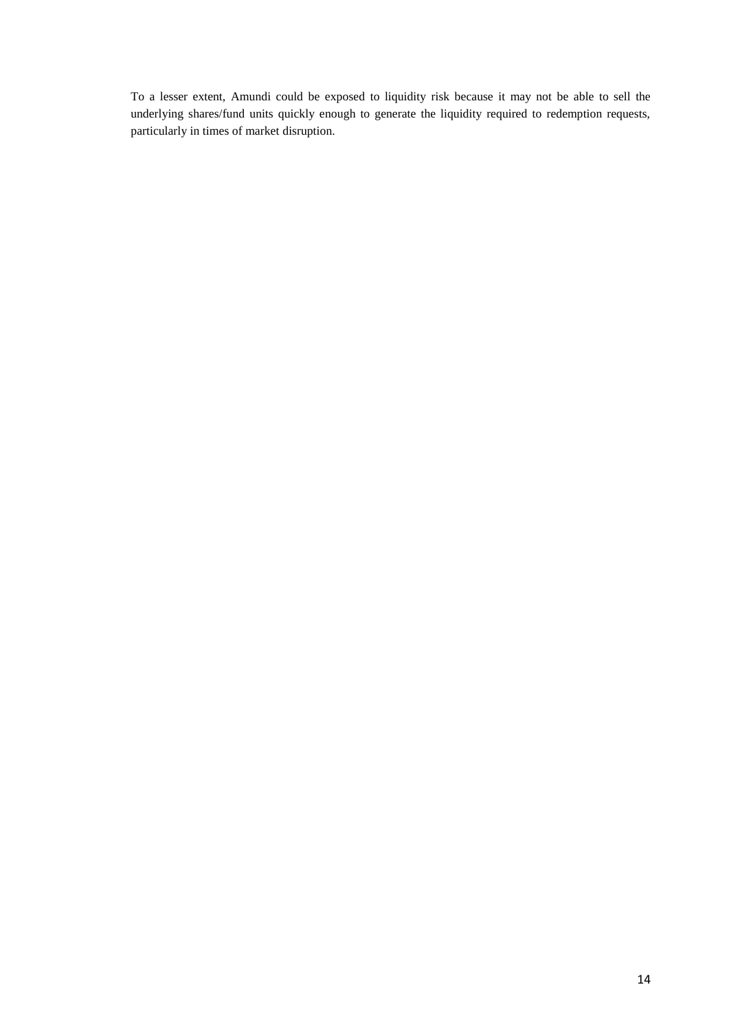To a lesser extent, Amundi could be exposed to liquidity risk because it may not be able to sell the underlying shares/fund units quickly enough to generate the liquidity required to redemption requests, particularly in times of market disruption.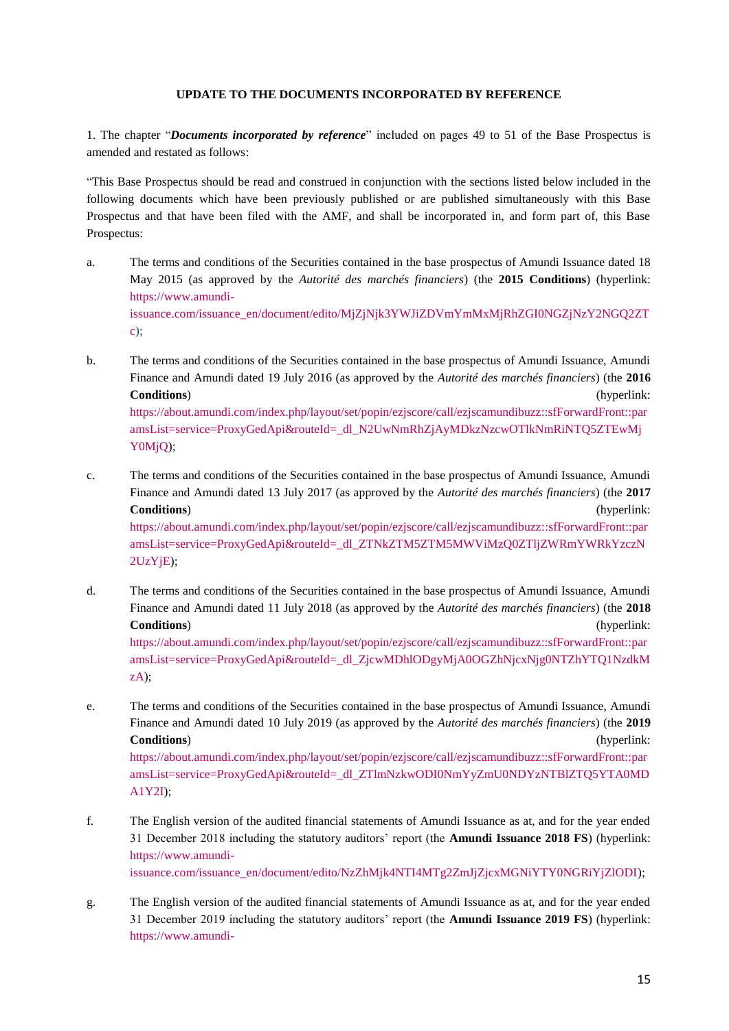### **UPDATE TO THE DOCUMENTS INCORPORATED BY REFERENCE**

<span id="page-14-0"></span>1. The chapter "*Documents incorporated by reference*" included on pages 49 to 51 of the Base Prospectus is amended and restated as follows:

"This Base Prospectus should be read and construed in conjunction with the sections listed below included in the following documents which have been previously published or are published simultaneously with this Base Prospectus and that have been filed with the AMF, and shall be incorporated in, and form part of, this Base Prospectus:

- a. The terms and conditions of the Securities contained in the base prospectus of Amundi Issuance dated 18 May 2015 (as approved by the *Autorité des marchés financiers*) (the **2015 Conditions**) (hyperlink: [https://www.amundi](https://www.amundi-issuance.com/issuance_en/document/edito/MjZjNjk3YWJiZDVmYmMxMjRhZGI0NGZjNzY2NGQ2ZTc)[issuance.com/issuance\\_en/document/edito/MjZjNjk3YWJiZDVmYmMxMjRhZGI0NGZjNzY2NGQ2ZT](https://www.amundi-issuance.com/issuance_en/document/edito/MjZjNjk3YWJiZDVmYmMxMjRhZGI0NGZjNzY2NGQ2ZTc)  $c)$ ;
- b. The terms and conditions of the Securities contained in the base prospectus of Amundi Issuance, Amundi Finance and Amundi dated 19 July 2016 (as approved by the *Autorité des marchés financiers*) (the **2016 Conditions**) (hyperlink: [https://about.amundi.com/index.php/layout/set/popin/ezjscore/call/ezjscamundibuzz::sfForwardFront::par](https://about.amundi.com/index.php/layout/set/popin/ezjscore/call/ezjscamundibuzz::sfForwardFront::paramsList=service=ProxyGedApi&routeId=_dl_N2UwNmRhZjAyMDkzNzcwOTlkNmRiNTQ5ZTEwMjY0MjQ)

[amsList=service=ProxyGedApi&routeId=\\_dl\\_N2UwNmRhZjAyMDkzNzcwOTlkNmRiNTQ5ZTEwMj](https://about.amundi.com/index.php/layout/set/popin/ezjscore/call/ezjscamundibuzz::sfForwardFront::paramsList=service=ProxyGedApi&routeId=_dl_N2UwNmRhZjAyMDkzNzcwOTlkNmRiNTQ5ZTEwMjY0MjQ) [Y0MjQ\)](https://about.amundi.com/index.php/layout/set/popin/ezjscore/call/ezjscamundibuzz::sfForwardFront::paramsList=service=ProxyGedApi&routeId=_dl_N2UwNmRhZjAyMDkzNzcwOTlkNmRiNTQ5ZTEwMjY0MjQ);

c. The terms and conditions of the Securities contained in the base prospectus of Amundi Issuance, Amundi Finance and Amundi dated 13 July 2017 (as approved by the *Autorité des marchés financiers*) (the **2017 Conditions**) (hyperlink:

[https://about.amundi.com/index.php/layout/set/popin/ezjscore/call/ezjscamundibuzz::sfForwardFront::par](https://about.amundi.com/index.php/layout/set/popin/ezjscore/call/ezjscamundibuzz::sfForwardFront::paramsList=service=ProxyGedApi&routeId=_dl_ZTNkZTM5ZTM5MWViMzQ0ZTljZWRmYWRkYzczN2UzYjE) [amsList=service=ProxyGedApi&routeId=\\_dl\\_ZTNkZTM5ZTM5MWViMzQ0ZTljZWRmYWRkYzczN](https://about.amundi.com/index.php/layout/set/popin/ezjscore/call/ezjscamundibuzz::sfForwardFront::paramsList=service=ProxyGedApi&routeId=_dl_ZTNkZTM5ZTM5MWViMzQ0ZTljZWRmYWRkYzczN2UzYjE) [2UzYjE\)](https://about.amundi.com/index.php/layout/set/popin/ezjscore/call/ezjscamundibuzz::sfForwardFront::paramsList=service=ProxyGedApi&routeId=_dl_ZTNkZTM5ZTM5MWViMzQ0ZTljZWRmYWRkYzczN2UzYjE);

- d. The terms and conditions of the Securities contained in the base prospectus of Amundi Issuance, Amundi Finance and Amundi dated 11 July 2018 (as approved by the *Autorité des marchés financiers*) (the **2018 Conditions**) (hyperlink: [https://about.amundi.com/index.php/layout/set/popin/ezjscore/call/ezjscamundibuzz::sfForwardFront::par](https://about.amundi.com/index.php/layout/set/popin/ezjscore/call/ezjscamundibuzz::sfForwardFront::paramsList=service=ProxyGedApi&routeId=_dl_ZjcwMDhlODgyMjA0OGZhNjcxNjg0NTZhYTQ1NzdkMzA) [amsList=service=ProxyGedApi&routeId=\\_dl\\_ZjcwMDhlODgyMjA0OGZhNjcxNjg0NTZhYTQ1NzdkM](https://about.amundi.com/index.php/layout/set/popin/ezjscore/call/ezjscamundibuzz::sfForwardFront::paramsList=service=ProxyGedApi&routeId=_dl_ZjcwMDhlODgyMjA0OGZhNjcxNjg0NTZhYTQ1NzdkMzA) [zA\)](https://about.amundi.com/index.php/layout/set/popin/ezjscore/call/ezjscamundibuzz::sfForwardFront::paramsList=service=ProxyGedApi&routeId=_dl_ZjcwMDhlODgyMjA0OGZhNjcxNjg0NTZhYTQ1NzdkMzA);
- e. The terms and conditions of the Securities contained in the base prospectus of Amundi Issuance, Amundi Finance and Amundi dated 10 July 2019 (as approved by the *Autorité des marchés financiers*) (the **2019 Conditions**) (hyperlink: [https://about.amundi.com/index.php/layout/set/popin/ezjscore/call/ezjscamundibuzz::sfForwardFront::par](https://about.amundi.com/index.php/layout/set/popin/ezjscore/call/ezjscamundibuzz::sfForwardFront::paramsList=service=ProxyGedApi&routeId=_dl_ZTlmNzkwODI0NmYyZmU0NDYzNTBlZTQ5YTA0MDA1Y2I) [amsList=service=ProxyGedApi&routeId=\\_dl\\_ZTlmNzkwODI0NmYyZmU0NDYzNTBlZTQ5YTA0MD](https://about.amundi.com/index.php/layout/set/popin/ezjscore/call/ezjscamundibuzz::sfForwardFront::paramsList=service=ProxyGedApi&routeId=_dl_ZTlmNzkwODI0NmYyZmU0NDYzNTBlZTQ5YTA0MDA1Y2I)

[A1Y2I\)](https://about.amundi.com/index.php/layout/set/popin/ezjscore/call/ezjscamundibuzz::sfForwardFront::paramsList=service=ProxyGedApi&routeId=_dl_ZTlmNzkwODI0NmYyZmU0NDYzNTBlZTQ5YTA0MDA1Y2I);

- f. The English version of the audited financial statements of Amundi Issuance as at, and for the year ended 31 December 2018 including the statutory auditors' report (the **Amundi Issuance 2018 FS**) (hyperlink: [https://www.amundi](https://www.amundi-issuance.com/issuance_en/document/edito/NzZhMjk4NTI4MTg2ZmJjZjcxMGNiYTY0NGRiYjZlODI)[issuance.com/issuance\\_en/document/edito/NzZhMjk4NTI4MTg2ZmJjZjcxMGNiYTY0NGRiYjZlODI\)](https://www.amundi-issuance.com/issuance_en/document/edito/NzZhMjk4NTI4MTg2ZmJjZjcxMGNiYTY0NGRiYjZlODI);
- g. The English version of the audited financial statements of Amundi Issuance as at, and for the year ended 31 December 2019 including the statutory auditors' report (the **Amundi Issuance 2019 FS**) (hyperlink: [https://www.amundi-](https://www.amundi-issuance.com/issuance_en/document/edito/ZWNiMmY5NzkxOTE3ZDI2YmQxNDFmMjFjMDFhMzFkNDQ)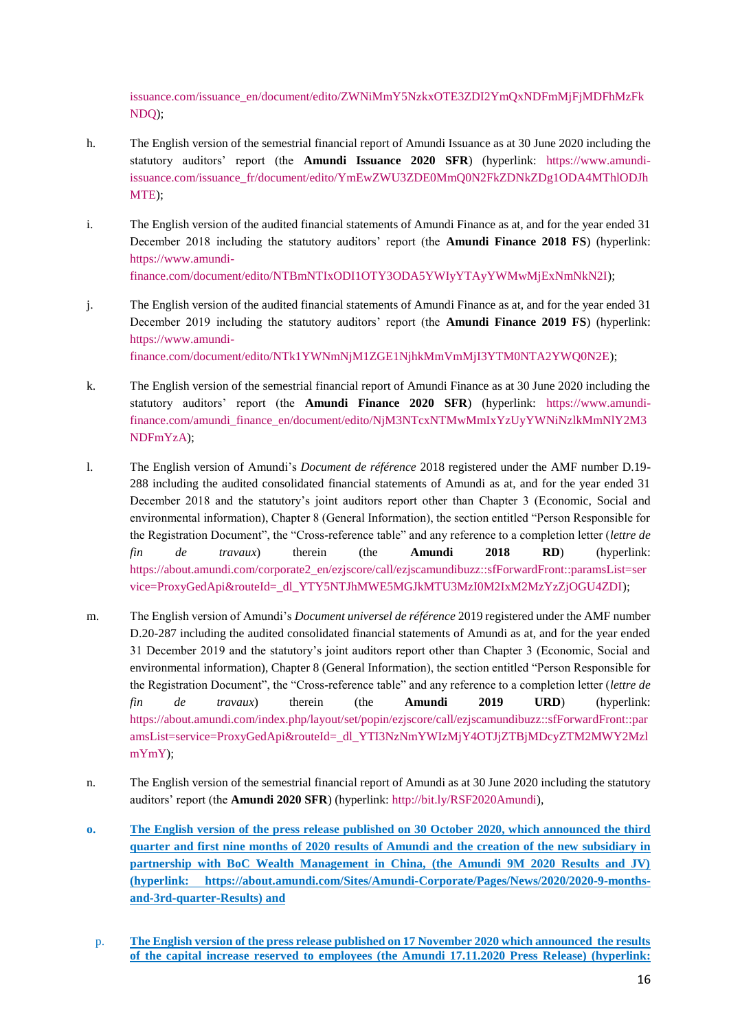[issuance.com/issuance\\_en/document/edito/ZWNiMmY5NzkxOTE3ZDI2YmQxNDFmMjFjMDFhMzFk](https://www.amundi-issuance.com/issuance_en/document/edito/ZWNiMmY5NzkxOTE3ZDI2YmQxNDFmMjFjMDFhMzFkNDQ) [NDQ\)](https://www.amundi-issuance.com/issuance_en/document/edito/ZWNiMmY5NzkxOTE3ZDI2YmQxNDFmMjFjMDFhMzFkNDQ);

- h. The English version of the semestrial financial report of Amundi Issuance as at 30 June 2020 including the statutory auditors' report (the **Amundi Issuance 2020 SFR**) (hyperlink: [https://www.amundi](https://www.amundi-issuance.com/issuance_fr/document/edito/YmEwZWU3ZDE0MmQ0N2FkZDNkZDg1ODA4MThlODJhMTE)[issuance.com/issuance\\_fr/document/edito/YmEwZWU3ZDE0MmQ0N2FkZDNkZDg1ODA4MThlODJh](https://www.amundi-issuance.com/issuance_fr/document/edito/YmEwZWU3ZDE0MmQ0N2FkZDNkZDg1ODA4MThlODJhMTE) [MTE\)](https://www.amundi-issuance.com/issuance_fr/document/edito/YmEwZWU3ZDE0MmQ0N2FkZDNkZDg1ODA4MThlODJhMTE);
- i. The English version of the audited financial statements of Amundi Finance as at, and for the year ended 31 December 2018 including the statutory auditors' report (the **Amundi Finance 2018 FS**) (hyperlink: [https://www.amundi](https://www.amundi-finance.com/document/edito/NTBmNTIxODI1OTY3ODA5YWIyYTAyYWMwMjExNmNkN2I)[finance.com/document/edito/NTBmNTIxODI1OTY3ODA5YWIyYTAyYWMwMjExNmNkN2I\)](https://www.amundi-finance.com/document/edito/NTBmNTIxODI1OTY3ODA5YWIyYTAyYWMwMjExNmNkN2I);
- j. The English version of the audited financial statements of Amundi Finance as at, and for the year ended 31 December 2019 including the statutory auditors' report (the **Amundi Finance 2019 FS**) (hyperlink: [https://www.amundi](https://www.amundi-finance.com/document/edito/NTk1YWNmNjM1ZGE1NjhkMmVmMjI3YTM0NTA2YWQ0N2E)[finance.com/document/edito/NTk1YWNmNjM1ZGE1NjhkMmVmMjI3YTM0NTA2YWQ0N2E\)](https://www.amundi-finance.com/document/edito/NTk1YWNmNjM1ZGE1NjhkMmVmMjI3YTM0NTA2YWQ0N2E);
- k. The English version of the semestrial financial report of Amundi Finance as at 30 June 2020 including the statutory auditors' report (the **Amundi Finance 2020 SFR**) (hyperlink: [https://www.amundi](https://www.amundi-finance.com/amundi_finance_en/document/edito/NjM3NTcxNTMwMmIxYzUyYWNiNzlkMmNlY2M3NDFmYzA)[finance.com/amundi\\_finance\\_en/document/edito/NjM3NTcxNTMwMmIxYzUyYWNiNzlkMmNlY2M3](https://www.amundi-finance.com/amundi_finance_en/document/edito/NjM3NTcxNTMwMmIxYzUyYWNiNzlkMmNlY2M3NDFmYzA) [NDFmYzA\)](https://www.amundi-finance.com/amundi_finance_en/document/edito/NjM3NTcxNTMwMmIxYzUyYWNiNzlkMmNlY2M3NDFmYzA);
- l. The English version of Amundi's *Document de référence* 2018 registered under the AMF number D.19- 288 including the audited consolidated financial statements of Amundi as at, and for the year ended 31 December 2018 and the statutory's joint auditors report other than Chapter 3 (Economic, Social and environmental information), Chapter 8 (General Information), the section entitled "Person Responsible for the Registration Document", the "Cross-reference table" and any reference to a completion letter (*lettre de fin de travaux*) therein (the **Amundi 2018 RD**) (hyperlink: [https://about.amundi.com/corporate2\\_en/ezjscore/call/ezjscamundibuzz::sfForwardFront::paramsList=ser](https://about.amundi.com/corporate2_en/ezjscore/call/ezjscamundibuzz::sfForwardFront::paramsList=service=ProxyGedApi&routeId=_dl_YTY5NTJhMWE5MGJkMTU3MzI0M2IxM2MzYzZjOGU4ZDI) [vice=ProxyGedApi&routeId=\\_dl\\_YTY5NTJhMWE5MGJkMTU3MzI0M2IxM2MzYzZjOGU4ZDI\)](https://about.amundi.com/corporate2_en/ezjscore/call/ezjscamundibuzz::sfForwardFront::paramsList=service=ProxyGedApi&routeId=_dl_YTY5NTJhMWE5MGJkMTU3MzI0M2IxM2MzYzZjOGU4ZDI);
- m. The English version of Amundi's *Document universel de référence* 2019 registered under the AMF number D.20-287 including the audited consolidated financial statements of Amundi as at, and for the year ended 31 December 2019 and the statutory's joint auditors report other than Chapter 3 (Economic, Social and environmental information), Chapter 8 (General Information), the section entitled "Person Responsible for the Registration Document", the "Cross-reference table" and any reference to a completion letter (*lettre de fin de travaux*) therein (the **Amundi 2019 URD**) (hyperlink: [https://about.amundi.com/index.php/layout/set/popin/ezjscore/call/ezjscamundibuzz::sfForwardFront::par](https://about.amundi.com/index.php/layout/set/popin/ezjscore/call/ezjscamundibuzz::sfForwardFront::paramsList=service=ProxyGedApi&routeId=_dl_YTI3NzNmYWIzMjY4OTJjZTBjMDcyZTM2MWY2MzlmYmY) [amsList=service=ProxyGedApi&routeId=\\_dl\\_YTI3NzNmYWIzMjY4OTJjZTBjMDcyZTM2MWY2Mzl](https://about.amundi.com/index.php/layout/set/popin/ezjscore/call/ezjscamundibuzz::sfForwardFront::paramsList=service=ProxyGedApi&routeId=_dl_YTI3NzNmYWIzMjY4OTJjZTBjMDcyZTM2MWY2MzlmYmY) [mYmY\)](https://about.amundi.com/index.php/layout/set/popin/ezjscore/call/ezjscamundibuzz::sfForwardFront::paramsList=service=ProxyGedApi&routeId=_dl_YTI3NzNmYWIzMjY4OTJjZTBjMDcyZTM2MWY2MzlmYmY);
- n. The English version of the semestrial financial report of Amundi as at 30 June 2020 including the statutory auditors' report (the **Amundi 2020 SFR**) (hyperlink: [http://bit.ly/RSF2020Amundi\)](http://bit.ly/RSF2020Amundi),
- **o. The English version of the press release published on 30 October 2020, which announced the third quarter and first nine months of 2020 results of Amundi and the creation of the new subsidiary in partnership with BoC Wealth Management in China, (the Amundi 9M 2020 Results and JV) (hyperlink: https://about.amundi.com/Sites/Amundi-Corporate/Pages/News/2020/2020-9-monthsand-3rd-quarter-Results) and**
- p. **The English version of the press release published on 17 November 2020 which announced the results of the capital increase reserved to employees (the Amundi 17.11.2020 Press Release) (hyperlink:**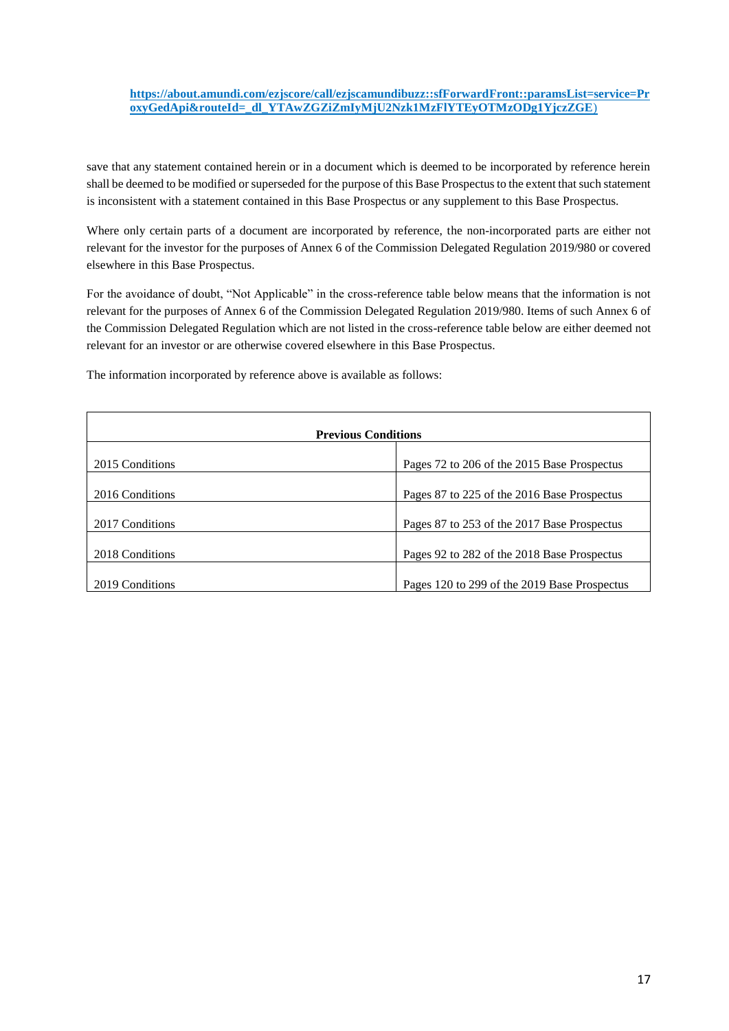# **[https://about.amundi.com/ezjscore/call/ezjscamundibuzz::sfForwardFront::paramsList=service=Pr](https://about.amundi.com/ezjscore/call/ezjscamundibuzz::sfForwardFront::paramsList=service=ProxyGedApi&routeId=_dl_YTAwZGZiZmIyMjU2Nzk1MzFlYTEyOTMzODg1YjczZGE) [oxyGedApi&routeId=\\_dl\\_YTAwZGZiZmIyMjU2Nzk1MzFlYTEyOTMzODg1YjczZGE](https://about.amundi.com/ezjscore/call/ezjscamundibuzz::sfForwardFront::paramsList=service=ProxyGedApi&routeId=_dl_YTAwZGZiZmIyMjU2Nzk1MzFlYTEyOTMzODg1YjczZGE)**)

save that any statement contained herein or in a document which is deemed to be incorporated by reference herein shall be deemed to be modified or superseded for the purpose of this Base Prospectus to the extent that such statement is inconsistent with a statement contained in this Base Prospectus or any supplement to this Base Prospectus.

Where only certain parts of a document are incorporated by reference, the non-incorporated parts are either not relevant for the investor for the purposes of Annex 6 of the Commission Delegated Regulation 2019/980 or covered elsewhere in this Base Prospectus.

For the avoidance of doubt, "Not Applicable" in the cross-reference table below means that the information is not relevant for the purposes of Annex 6 of the Commission Delegated Regulation 2019/980. Items of such Annex 6 of the Commission Delegated Regulation which are not listed in the cross-reference table below are either deemed not relevant for an investor or are otherwise covered elsewhere in this Base Prospectus.

The information incorporated by reference above is available as follows:

| <b>Previous Conditions</b> |                                              |  |  |
|----------------------------|----------------------------------------------|--|--|
| 2015 Conditions            | Pages 72 to 206 of the 2015 Base Prospectus  |  |  |
|                            |                                              |  |  |
| 2016 Conditions            | Pages 87 to 225 of the 2016 Base Prospectus  |  |  |
| 2017 Conditions            | Pages 87 to 253 of the 2017 Base Prospectus  |  |  |
| 2018 Conditions            | Pages 92 to 282 of the 2018 Base Prospectus  |  |  |
| 2019 Conditions            | Pages 120 to 299 of the 2019 Base Prospectus |  |  |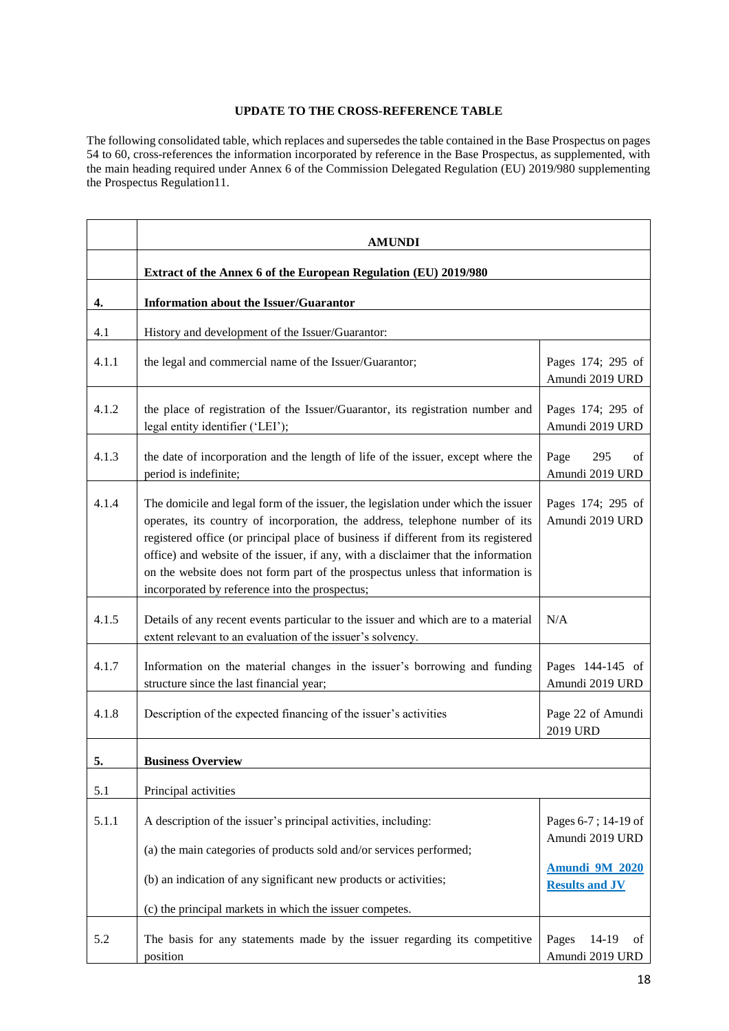# **UPDATE TO THE CROSS-REFERENCE TABLE**

The following consolidated table, which replaces and supersedes the table contained in the Base Prospectus on pages 54 to 60, cross-references the information incorporated by reference in the Base Prospectus, as supplemented, with the main heading required under Annex 6 of the Commission Delegated Regulation (EU) 2019/980 supplementing the Prospectus Regulation11.

|       | <b>AMUNDI</b>                                                                                                                                                                                                                                                                                                                                                                                                                                                                    |                                         |  |
|-------|----------------------------------------------------------------------------------------------------------------------------------------------------------------------------------------------------------------------------------------------------------------------------------------------------------------------------------------------------------------------------------------------------------------------------------------------------------------------------------|-----------------------------------------|--|
|       | Extract of the Annex 6 of the European Regulation (EU) 2019/980                                                                                                                                                                                                                                                                                                                                                                                                                  |                                         |  |
| 4.    | Information about the Issuer/Guarantor                                                                                                                                                                                                                                                                                                                                                                                                                                           |                                         |  |
| 4.1   | History and development of the Issuer/Guarantor:                                                                                                                                                                                                                                                                                                                                                                                                                                 |                                         |  |
| 4.1.1 | the legal and commercial name of the Issuer/Guarantor;                                                                                                                                                                                                                                                                                                                                                                                                                           | Pages 174; 295 of<br>Amundi 2019 URD    |  |
| 4.1.2 | the place of registration of the Issuer/Guarantor, its registration number and<br>legal entity identifier ('LEI');                                                                                                                                                                                                                                                                                                                                                               | Pages 174; 295 of<br>Amundi 2019 URD    |  |
| 4.1.3 | the date of incorporation and the length of life of the issuer, except where the<br>period is indefinite;                                                                                                                                                                                                                                                                                                                                                                        | Page<br>295<br>of<br>Amundi 2019 URD    |  |
| 4.1.4 | The domicile and legal form of the issuer, the legislation under which the issuer<br>operates, its country of incorporation, the address, telephone number of its<br>registered office (or principal place of business if different from its registered<br>office) and website of the issuer, if any, with a disclaimer that the information<br>on the website does not form part of the prospectus unless that information is<br>incorporated by reference into the prospectus; | Pages 174; 295 of<br>Amundi 2019 URD    |  |
| 4.1.5 | Details of any recent events particular to the issuer and which are to a material<br>extent relevant to an evaluation of the issuer's solvency.                                                                                                                                                                                                                                                                                                                                  | N/A                                     |  |
| 4.1.7 | Information on the material changes in the issuer's borrowing and funding<br>structure since the last financial year;                                                                                                                                                                                                                                                                                                                                                            | Pages 144-145 of<br>Amundi 2019 URD     |  |
| 4.1.8 | Description of the expected financing of the issuer's activities                                                                                                                                                                                                                                                                                                                                                                                                                 | Page 22 of Amundi<br>2019 URD           |  |
| 5.    | <b>Business Overview</b>                                                                                                                                                                                                                                                                                                                                                                                                                                                         |                                         |  |
| 5.1   | Principal activities                                                                                                                                                                                                                                                                                                                                                                                                                                                             |                                         |  |
| 5.1.1 | A description of the issuer's principal activities, including:                                                                                                                                                                                                                                                                                                                                                                                                                   | Pages 6-7; 14-19 of<br>Amundi 2019 URD  |  |
|       | (a) the main categories of products sold and/or services performed;                                                                                                                                                                                                                                                                                                                                                                                                              | <b>Amundi 9M 2020</b>                   |  |
|       | (b) an indication of any significant new products or activities;                                                                                                                                                                                                                                                                                                                                                                                                                 | <b>Results and JV</b>                   |  |
|       | (c) the principal markets in which the issuer competes.                                                                                                                                                                                                                                                                                                                                                                                                                          |                                         |  |
| 5.2   | The basis for any statements made by the issuer regarding its competitive<br>position                                                                                                                                                                                                                                                                                                                                                                                            | Pages<br>14-19<br>of<br>Amundi 2019 URD |  |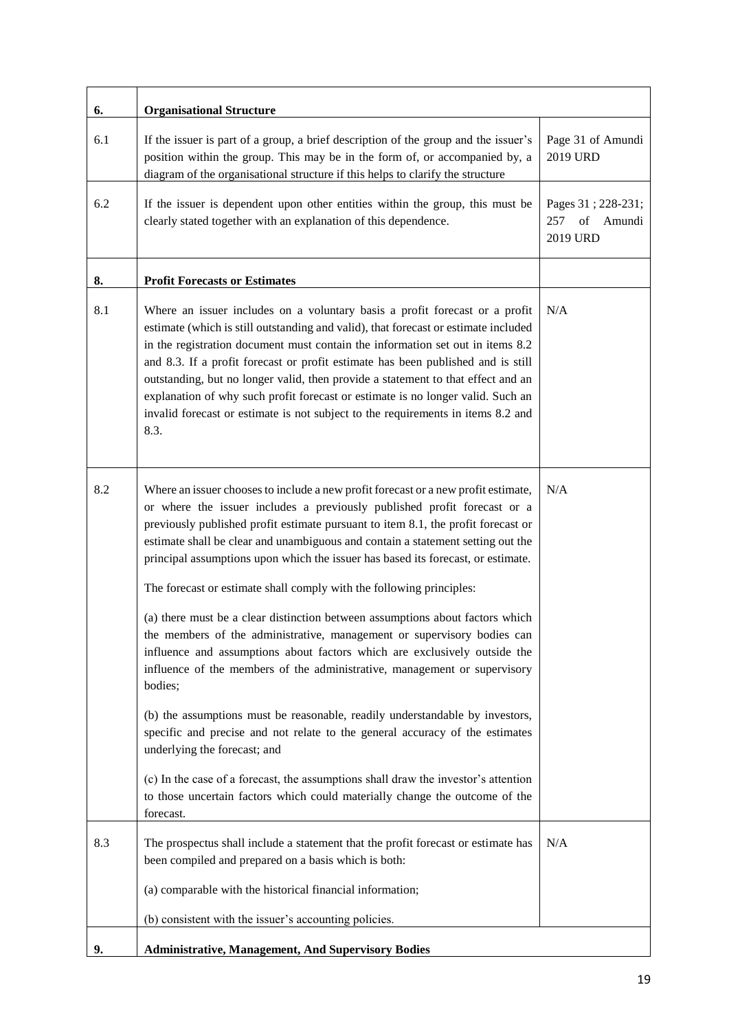| 6.  | <b>Organisational Structure</b>                                                                                                                                                                                                                                                                                                                                                                                                                                                                                                                                                                                                                                                                                                                                                                                                                                                                                                                                                                                                                                                                                                                                                                                       |                                                       |
|-----|-----------------------------------------------------------------------------------------------------------------------------------------------------------------------------------------------------------------------------------------------------------------------------------------------------------------------------------------------------------------------------------------------------------------------------------------------------------------------------------------------------------------------------------------------------------------------------------------------------------------------------------------------------------------------------------------------------------------------------------------------------------------------------------------------------------------------------------------------------------------------------------------------------------------------------------------------------------------------------------------------------------------------------------------------------------------------------------------------------------------------------------------------------------------------------------------------------------------------|-------------------------------------------------------|
| 6.1 | If the issuer is part of a group, a brief description of the group and the issuer's<br>position within the group. This may be in the form of, or accompanied by, a<br>diagram of the organisational structure if this helps to clarify the structure                                                                                                                                                                                                                                                                                                                                                                                                                                                                                                                                                                                                                                                                                                                                                                                                                                                                                                                                                                  | Page 31 of Amundi<br>2019 URD                         |
| 6.2 | If the issuer is dependent upon other entities within the group, this must be<br>clearly stated together with an explanation of this dependence.                                                                                                                                                                                                                                                                                                                                                                                                                                                                                                                                                                                                                                                                                                                                                                                                                                                                                                                                                                                                                                                                      | Pages 31; 228-231;<br>of<br>257<br>Amundi<br>2019 URD |
| 8.  | <b>Profit Forecasts or Estimates</b>                                                                                                                                                                                                                                                                                                                                                                                                                                                                                                                                                                                                                                                                                                                                                                                                                                                                                                                                                                                                                                                                                                                                                                                  |                                                       |
| 8.1 | Where an issuer includes on a voluntary basis a profit forecast or a profit<br>estimate (which is still outstanding and valid), that forecast or estimate included<br>in the registration document must contain the information set out in items 8.2<br>and 8.3. If a profit forecast or profit estimate has been published and is still<br>outstanding, but no longer valid, then provide a statement to that effect and an<br>explanation of why such profit forecast or estimate is no longer valid. Such an<br>invalid forecast or estimate is not subject to the requirements in items 8.2 and<br>8.3.                                                                                                                                                                                                                                                                                                                                                                                                                                                                                                                                                                                                           | N/A                                                   |
| 8.2 | Where an issuer chooses to include a new profit forecast or a new profit estimate,<br>or where the issuer includes a previously published profit forecast or a<br>previously published profit estimate pursuant to item 8.1, the profit forecast or<br>estimate shall be clear and unambiguous and contain a statement setting out the<br>principal assumptions upon which the issuer has based its forecast, or estimate.<br>The forecast or estimate shall comply with the following principles:<br>(a) there must be a clear distinction between assumptions about factors which<br>the members of the administrative, management or supervisory bodies can<br>influence and assumptions about factors which are exclusively outside the<br>influence of the members of the administrative, management or supervisory<br>bodies;<br>(b) the assumptions must be reasonable, readily understandable by investors,<br>specific and precise and not relate to the general accuracy of the estimates<br>underlying the forecast; and<br>(c) In the case of a forecast, the assumptions shall draw the investor's attention<br>to those uncertain factors which could materially change the outcome of the<br>forecast. | N/A                                                   |
| 8.3 | The prospectus shall include a statement that the profit forecast or estimate has<br>been compiled and prepared on a basis which is both:                                                                                                                                                                                                                                                                                                                                                                                                                                                                                                                                                                                                                                                                                                                                                                                                                                                                                                                                                                                                                                                                             | N/A                                                   |
|     | (a) comparable with the historical financial information;                                                                                                                                                                                                                                                                                                                                                                                                                                                                                                                                                                                                                                                                                                                                                                                                                                                                                                                                                                                                                                                                                                                                                             |                                                       |
|     | (b) consistent with the issuer's accounting policies.                                                                                                                                                                                                                                                                                                                                                                                                                                                                                                                                                                                                                                                                                                                                                                                                                                                                                                                                                                                                                                                                                                                                                                 |                                                       |
| 9.  | <b>Administrative, Management, And Supervisory Bodies</b>                                                                                                                                                                                                                                                                                                                                                                                                                                                                                                                                                                                                                                                                                                                                                                                                                                                                                                                                                                                                                                                                                                                                                             |                                                       |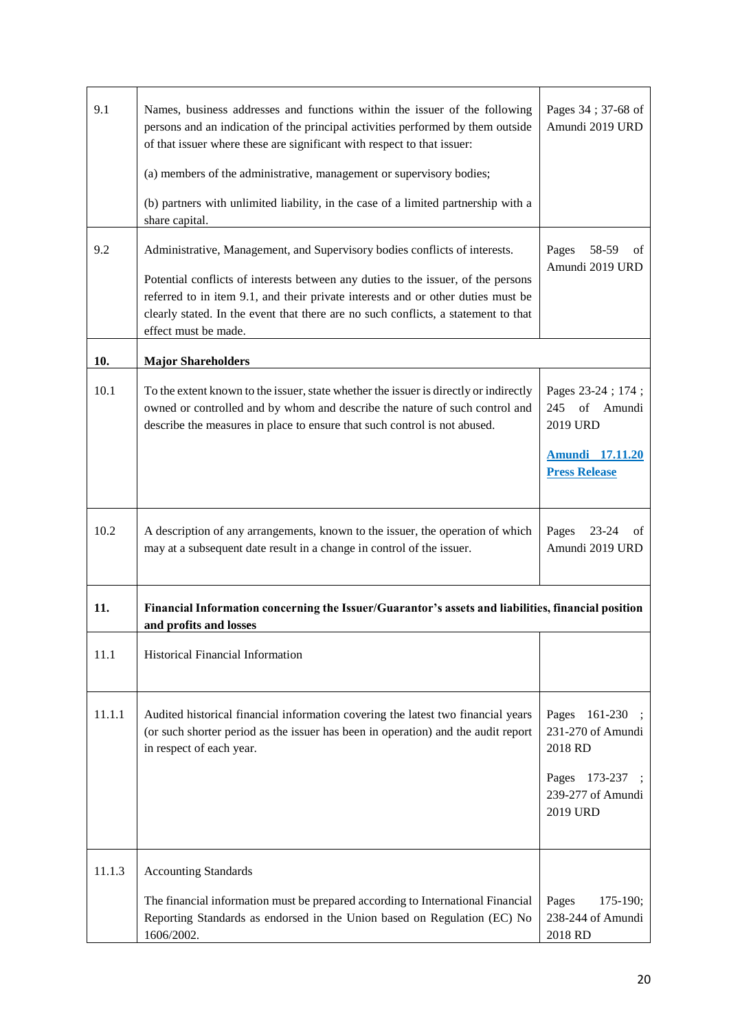| 9.1    | Names, business addresses and functions within the issuer of the following<br>persons and an indication of the principal activities performed by them outside<br>of that issuer where these are significant with respect to that issuer:<br>(a) members of the administrative, management or supervisory bodies;<br>(b) partners with unlimited liability, in the case of a limited partnership with a<br>share capital. | Pages 34; 37-68 of<br>Amundi 2019 URD                                                                 |
|--------|--------------------------------------------------------------------------------------------------------------------------------------------------------------------------------------------------------------------------------------------------------------------------------------------------------------------------------------------------------------------------------------------------------------------------|-------------------------------------------------------------------------------------------------------|
| 9.2    | Administrative, Management, and Supervisory bodies conflicts of interests.<br>Potential conflicts of interests between any duties to the issuer, of the persons<br>referred to in item 9.1, and their private interests and or other duties must be<br>clearly stated. In the event that there are no such conflicts, a statement to that<br>effect must be made.                                                        | 58-59<br>Pages<br>οf<br>Amundi 2019 URD                                                               |
| 10.    | <b>Major Shareholders</b>                                                                                                                                                                                                                                                                                                                                                                                                |                                                                                                       |
| 10.1   | To the extent known to the issuer, state whether the issuer is directly or indirectly<br>owned or controlled and by whom and describe the nature of such control and<br>describe the measures in place to ensure that such control is not abused.                                                                                                                                                                        | Pages 23-24; 174;<br>245 of Amundi<br>2019 URD<br><b>Amundi</b> 17.11.20<br><b>Press Release</b>      |
| 10.2   | A description of any arrangements, known to the issuer, the operation of which<br>may at a subsequent date result in a change in control of the issuer.                                                                                                                                                                                                                                                                  | Pages<br>$23 - 24$<br>οf<br>Amundi 2019 URD                                                           |
| 11.    | Financial Information concerning the Issuer/Guarantor's assets and liabilities, financial position<br>and profits and losses                                                                                                                                                                                                                                                                                             |                                                                                                       |
| 11.1   | Historical Financial Information                                                                                                                                                                                                                                                                                                                                                                                         |                                                                                                       |
| 11.1.1 | Audited historical financial information covering the latest two financial years<br>(or such shorter period as the issuer has been in operation) and the audit report<br>in respect of each year.                                                                                                                                                                                                                        | Pages<br>161-230<br>231-270 of Amundi<br>2018 RD<br>Pages<br>173-237<br>239-277 of Amundi<br>2019 URD |
| 11.1.3 | <b>Accounting Standards</b><br>The financial information must be prepared according to International Financial<br>Reporting Standards as endorsed in the Union based on Regulation (EC) No<br>1606/2002.                                                                                                                                                                                                                 | Pages<br>175-190;<br>238-244 of Amundi<br>2018 RD                                                     |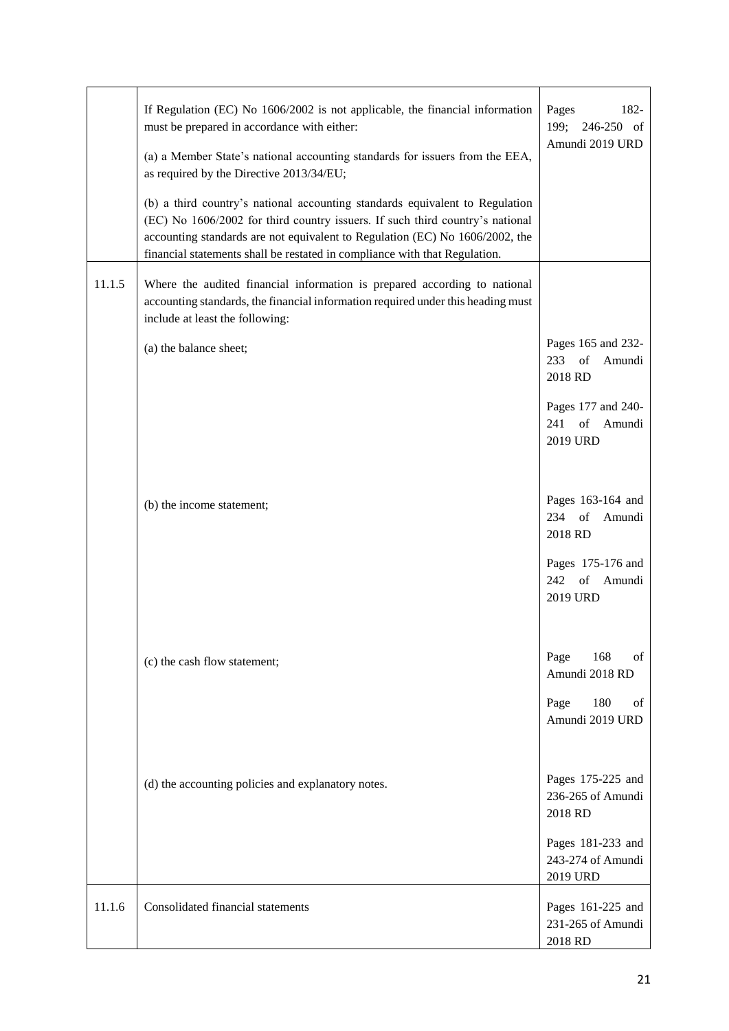|        | If Regulation (EC) No 1606/2002 is not applicable, the financial information<br>must be prepared in accordance with either:<br>(a) a Member State's national accounting standards for issuers from the EEA,<br>as required by the Directive 2013/34/EU;<br>(b) a third country's national accounting standards equivalent to Regulation<br>(EC) No 1606/2002 for third country issuers. If such third country's national<br>accounting standards are not equivalent to Regulation (EC) No 1606/2002, the<br>financial statements shall be restated in compliance with that Regulation. | Pages<br>182-<br>199;<br>246-250 of<br>Amundi 2019 URD                                                       |
|--------|----------------------------------------------------------------------------------------------------------------------------------------------------------------------------------------------------------------------------------------------------------------------------------------------------------------------------------------------------------------------------------------------------------------------------------------------------------------------------------------------------------------------------------------------------------------------------------------|--------------------------------------------------------------------------------------------------------------|
| 11.1.5 | Where the audited financial information is prepared according to national<br>accounting standards, the financial information required under this heading must<br>include at least the following:                                                                                                                                                                                                                                                                                                                                                                                       |                                                                                                              |
|        | (a) the balance sheet;                                                                                                                                                                                                                                                                                                                                                                                                                                                                                                                                                                 | Pages 165 and 232-<br>$233$ of<br>Amundi<br>2018 RD<br>Pages 177 and 240-<br>241<br>of<br>Amundi<br>2019 URD |
|        | (b) the income statement;                                                                                                                                                                                                                                                                                                                                                                                                                                                                                                                                                              | Pages 163-164 and<br>234<br>of<br>Amundi<br>2018 RD<br>Pages 175-176 and<br>of<br>242<br>Amundi<br>2019 URD  |
|        | (c) the cash flow statement;                                                                                                                                                                                                                                                                                                                                                                                                                                                                                                                                                           | 168<br>Page<br>of<br>Amundi 2018 RD<br>Page<br>180<br>of<br>Amundi 2019 URD                                  |
|        | (d) the accounting policies and explanatory notes.                                                                                                                                                                                                                                                                                                                                                                                                                                                                                                                                     | Pages 175-225 and<br>236-265 of Amundi<br>2018 RD<br>Pages 181-233 and<br>243-274 of Amundi<br>2019 URD      |
| 11.1.6 | Consolidated financial statements                                                                                                                                                                                                                                                                                                                                                                                                                                                                                                                                                      | Pages 161-225 and<br>231-265 of Amundi<br>2018 RD                                                            |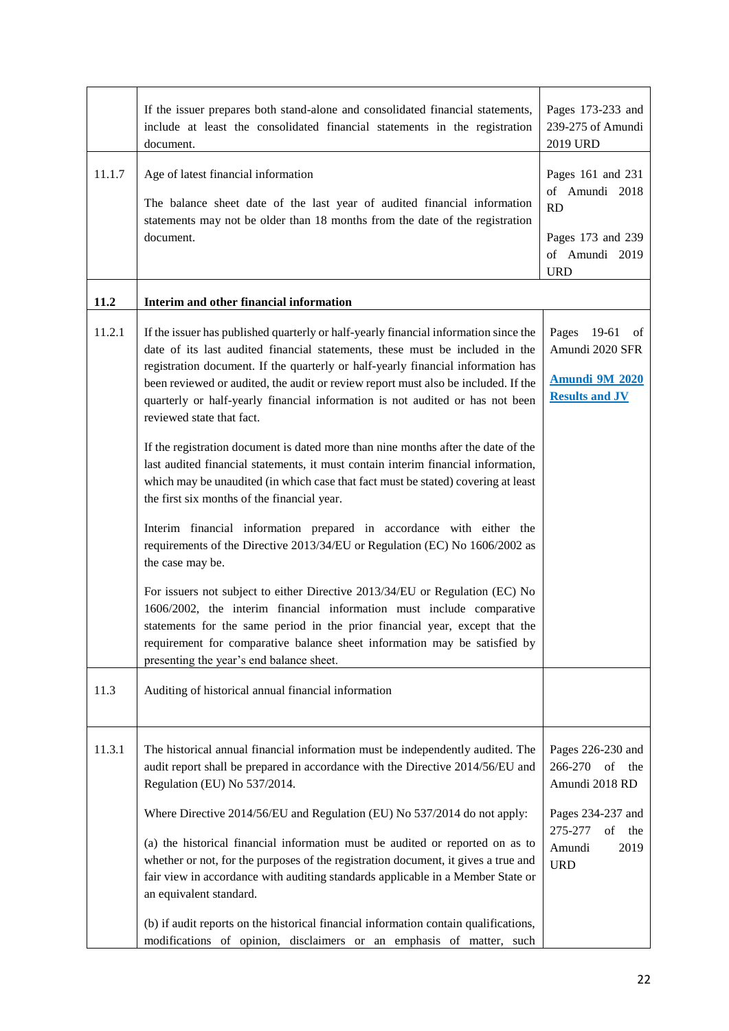|        | If the issuer prepares both stand-alone and consolidated financial statements,<br>include at least the consolidated financial statements in the registration<br>document.                                                                                                                                                                                                                                                                                    | Pages 173-233 and<br>239-275 of Amundi<br>2019 URD                                                    |
|--------|--------------------------------------------------------------------------------------------------------------------------------------------------------------------------------------------------------------------------------------------------------------------------------------------------------------------------------------------------------------------------------------------------------------------------------------------------------------|-------------------------------------------------------------------------------------------------------|
| 11.1.7 | Age of latest financial information<br>The balance sheet date of the last year of audited financial information<br>statements may not be older than 18 months from the date of the registration<br>document.                                                                                                                                                                                                                                                 | Pages 161 and 231<br>of Amundi 2018<br><b>RD</b><br>Pages 173 and 239<br>of Amundi 2019<br><b>URD</b> |
| 11.2   | Interim and other financial information                                                                                                                                                                                                                                                                                                                                                                                                                      |                                                                                                       |
| 11.2.1 | If the issuer has published quarterly or half-yearly financial information since the<br>date of its last audited financial statements, these must be included in the<br>registration document. If the quarterly or half-yearly financial information has<br>been reviewed or audited, the audit or review report must also be included. If the<br>quarterly or half-yearly financial information is not audited or has not been<br>reviewed state that fact. | Pages 19-61<br>of<br>Amundi 2020 SFR<br><b>Amundi 9M 2020</b><br><b>Results and JV</b>                |
|        | If the registration document is dated more than nine months after the date of the<br>last audited financial statements, it must contain interim financial information,<br>which may be unaudited (in which case that fact must be stated) covering at least<br>the first six months of the financial year.                                                                                                                                                   |                                                                                                       |
|        | Interim financial information prepared in accordance with either the<br>requirements of the Directive 2013/34/EU or Regulation (EC) No 1606/2002 as<br>the case may be.                                                                                                                                                                                                                                                                                      |                                                                                                       |
|        | For issuers not subject to either Directive 2013/34/EU or Regulation (EC) No<br>1606/2002, the interim financial information must include comparative<br>statements for the same period in the prior financial year, except that the<br>requirement for comparative balance sheet information may be satisfied by<br>presenting the year's end balance sheet.                                                                                                |                                                                                                       |
| 11.3   | Auditing of historical annual financial information                                                                                                                                                                                                                                                                                                                                                                                                          |                                                                                                       |
| 11.3.1 | The historical annual financial information must be independently audited. The<br>audit report shall be prepared in accordance with the Directive 2014/56/EU and<br>Regulation (EU) No 537/2014.                                                                                                                                                                                                                                                             | Pages 226-230 and<br>266-270<br>of<br>the<br>Amundi 2018 RD                                           |
|        | Where Directive 2014/56/EU and Regulation (EU) No 537/2014 do not apply:<br>(a) the historical financial information must be audited or reported on as to<br>whether or not, for the purposes of the registration document, it gives a true and<br>fair view in accordance with auditing standards applicable in a Member State or<br>an equivalent standard.<br>(b) if audit reports on the historical financial information contain qualifications,        | Pages 234-237 and<br>275-277<br>of<br>the<br>Amundi<br>2019<br><b>URD</b>                             |
|        | modifications of opinion, disclaimers or an emphasis of matter, such                                                                                                                                                                                                                                                                                                                                                                                         |                                                                                                       |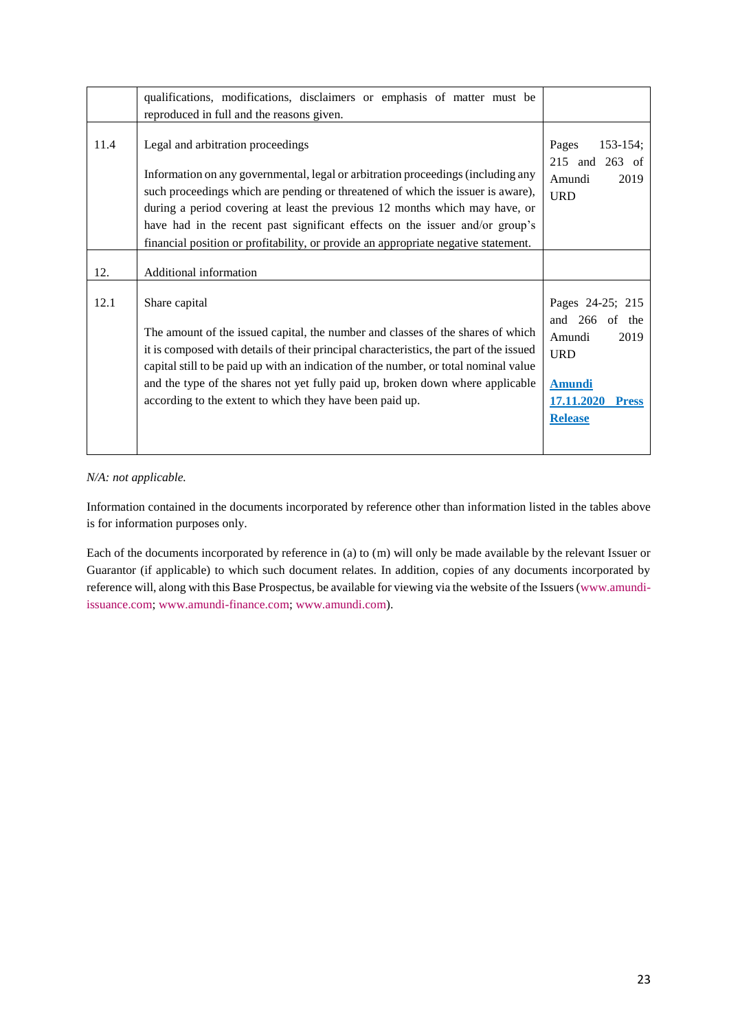|      | qualifications, modifications, disclaimers or emphasis of matter must be<br>reproduced in full and the reasons given.                                                                                                                                                                                                                                                                                                                                         |                                                                                                                                        |
|------|---------------------------------------------------------------------------------------------------------------------------------------------------------------------------------------------------------------------------------------------------------------------------------------------------------------------------------------------------------------------------------------------------------------------------------------------------------------|----------------------------------------------------------------------------------------------------------------------------------------|
| 11.4 | Legal and arbitration proceedings<br>Information on any governmental, legal or arbitration proceedings (including any<br>such proceedings which are pending or threatened of which the issuer is aware),<br>during a period covering at least the previous 12 months which may have, or<br>have had in the recent past significant effects on the issuer and/or group's<br>financial position or profitability, or provide an appropriate negative statement. | Pages<br>$153 - 154$ ;<br>215 and 263 of<br>Amundi<br>2019<br><b>URD</b>                                                               |
| 12.  | Additional information                                                                                                                                                                                                                                                                                                                                                                                                                                        |                                                                                                                                        |
| 12.1 | Share capital<br>The amount of the issued capital, the number and classes of the shares of which<br>it is composed with details of their principal characteristics, the part of the issued<br>capital still to be paid up with an indication of the number, or total nominal value<br>and the type of the shares not yet fully paid up, broken down where applicable<br>according to the extent to which they have been paid up.                              | Pages 24-25; 215<br>266 of the<br>and<br>Amundi<br>2019<br><b>URD</b><br><b>Amundi</b><br>17.11.2020<br><b>Press</b><br><b>Release</b> |

# *N/A: not applicable.*

Information contained in the documents incorporated by reference other than information listed in the tables above is for information purposes only.

Each of the documents incorporated by reference in (a) to (m) will only be made available by the relevant Issuer or Guarantor (if applicable) to which such document relates. In addition, copies of any documents incorporated by reference will, along with this Base Prospectus, be available for viewing via the website of the Issuers [\(www.amundi](http://www.amundi-issuance.com/)[issuance.com;](http://www.amundi-issuance.com/) [www.amundi-finance.com;](http://www.amundi-finance.com/) [www.amundi.com\)](http://www.amundi.com/).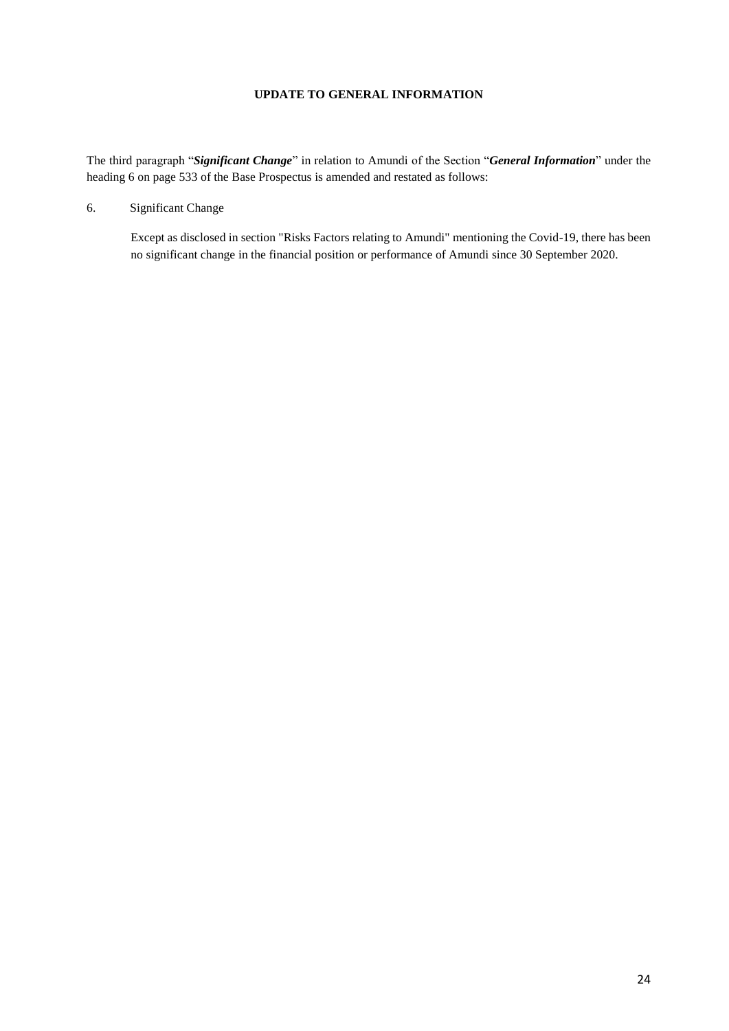### **UPDATE TO GENERAL INFORMATION**

<span id="page-23-0"></span>The third paragraph "*Significant Change*" in relation to Amundi of the Section "*General Information*" under the heading 6 on page 533 of the Base Prospectus is amended and restated as follows:

6. Significant Change

Except as disclosed in section "Risks Factors relating to Amundi" mentioning the Covid-19, there has been no significant change in the financial position or performance of Amundi since 30 September 2020.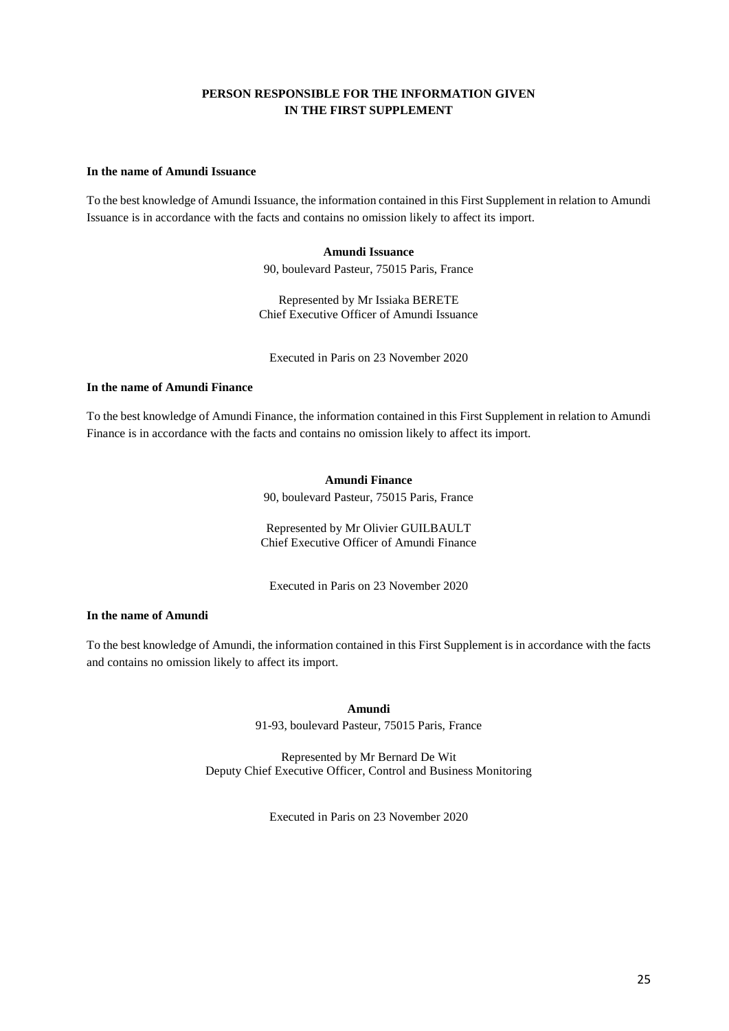# **PERSON RESPONSIBLE FOR THE INFORMATION GIVEN IN THE FIRST SUPPLEMENT**

#### <span id="page-24-0"></span>**In the name of Amundi Issuance**

To the best knowledge of Amundi Issuance, the information contained in this First Supplement in relation to Amundi Issuance is in accordance with the facts and contains no omission likely to affect its import.

#### **Amundi Issuance**

90, boulevard Pasteur, 75015 Paris, France

Represented by Mr Issiaka BERETE Chief Executive Officer of Amundi Issuance

Executed in Paris on 23 November 2020

# **In the name of Amundi Finance**

To the best knowledge of Amundi Finance, the information contained in this First Supplement in relation to Amundi Finance is in accordance with the facts and contains no omission likely to affect its import.

### **Amundi Finance**

90, boulevard Pasteur, 75015 Paris, France

Represented by Mr Olivier GUILBAULT Chief Executive Officer of Amundi Finance

Executed in Paris on 23 November 2020

# **In the name of Amundi**

To the best knowledge of Amundi, the information contained in this First Supplement is in accordance with the facts and contains no omission likely to affect its import.

**Amundi** 

91-93, boulevard Pasteur, 75015 Paris, France

Represented by Mr Bernard De Wit Deputy Chief Executive Officer, Control and Business Monitoring

Executed in Paris on 23 November 2020